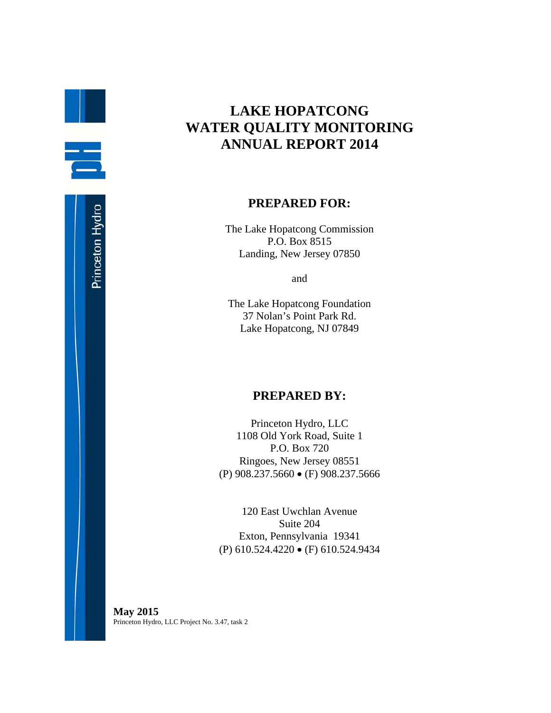# **LAKE HOPATCONG WATER QUALITY MONITORING ANNUAL REPORT 2014**

#### **PREPARED FOR:**

The Lake Hopatcong Commission P.O. Box 8515 Landing, New Jersey 07850

and

The Lake Hopatcong Foundation 37 Nolan's Point Park Rd. Lake Hopatcong, NJ 07849

### **PREPARED BY:**

Princeton Hydro, LLC 1108 Old York Road, Suite 1 P.O. Box 720 Ringoes, New Jersey 08551 (P) 908.237.5660 (F) 908.237.5666

120 East Uwchlan Avenue Suite 204 Exton, Pennsylvania 19341 (P) 610.524.4220 (F) 610.524.9434

**May 2015**  Princeton Hydro, LLC Project No. 3.47, task 2

H.

ē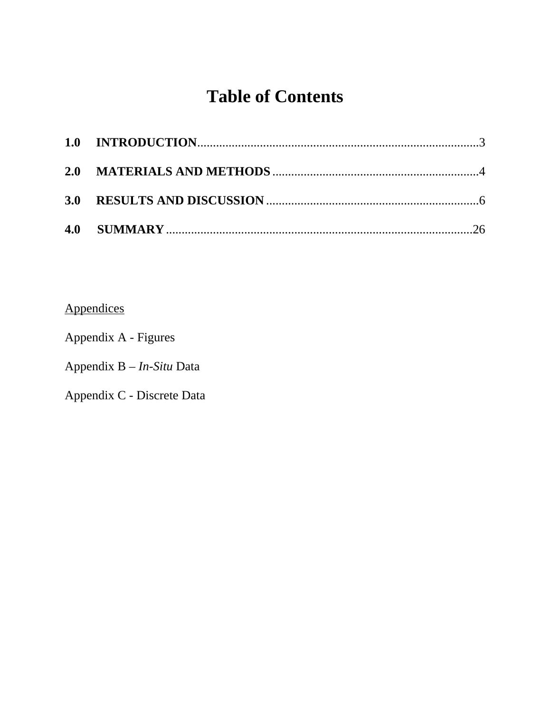# **Table of Contents**

Appendices

Appendix A - Figures

Appendix B – *In-Situ* Data

Appendix C - Discrete Data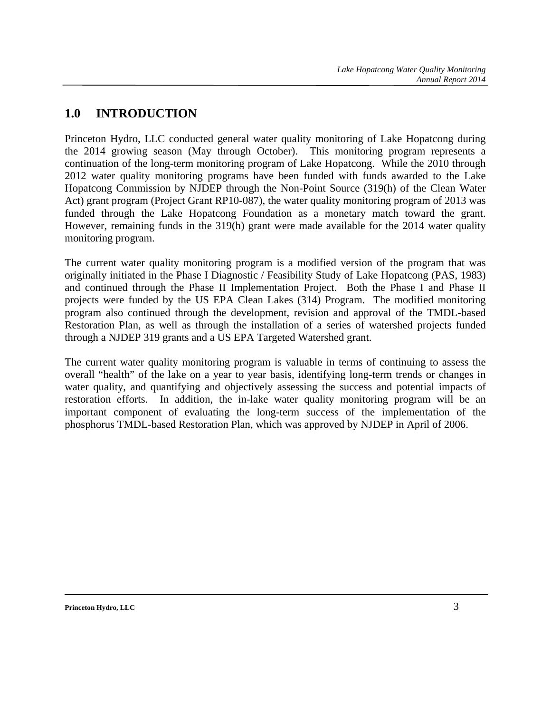## **1.0 INTRODUCTION**

Princeton Hydro, LLC conducted general water quality monitoring of Lake Hopatcong during the 2014 growing season (May through October). This monitoring program represents a continuation of the long-term monitoring program of Lake Hopatcong. While the 2010 through 2012 water quality monitoring programs have been funded with funds awarded to the Lake Hopatcong Commission by NJDEP through the Non-Point Source (319(h) of the Clean Water Act) grant program (Project Grant RP10-087), the water quality monitoring program of 2013 was funded through the Lake Hopatcong Foundation as a monetary match toward the grant. However, remaining funds in the 319(h) grant were made available for the 2014 water quality monitoring program.

The current water quality monitoring program is a modified version of the program that was originally initiated in the Phase I Diagnostic / Feasibility Study of Lake Hopatcong (PAS, 1983) and continued through the Phase II Implementation Project. Both the Phase I and Phase II projects were funded by the US EPA Clean Lakes (314) Program. The modified monitoring program also continued through the development, revision and approval of the TMDL-based Restoration Plan, as well as through the installation of a series of watershed projects funded through a NJDEP 319 grants and a US EPA Targeted Watershed grant.

The current water quality monitoring program is valuable in terms of continuing to assess the overall "health" of the lake on a year to year basis, identifying long-term trends or changes in water quality, and quantifying and objectively assessing the success and potential impacts of restoration efforts. In addition, the in-lake water quality monitoring program will be an important component of evaluating the long-term success of the implementation of the phosphorus TMDL-based Restoration Plan, which was approved by NJDEP in April of 2006.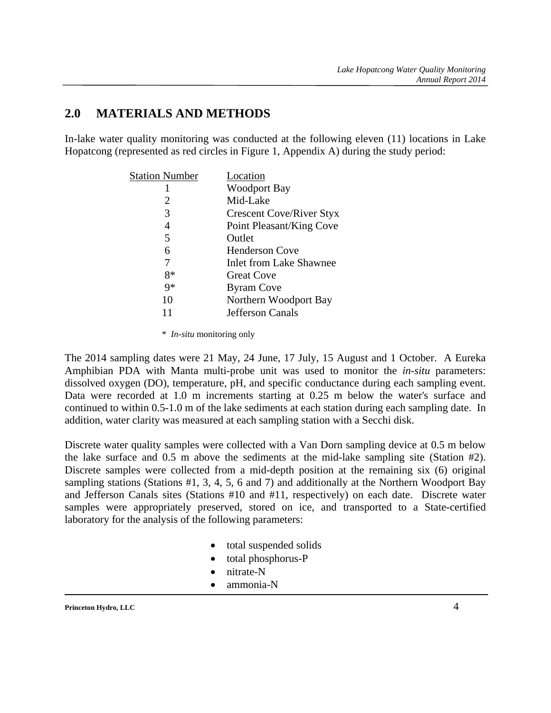### **2.0 MATERIALS AND METHODS**

In-lake water quality monitoring was conducted at the following eleven (11) locations in Lake Hopatcong (represented as red circles in Figure 1, Appendix A) during the study period:

| <b>Station Number</b> | Location                        |
|-----------------------|---------------------------------|
|                       | <b>Woodport Bay</b>             |
| 2                     | Mid-Lake                        |
| 3                     | <b>Crescent Cove/River Styx</b> |
| 4                     | Point Pleasant/King Cove        |
| 5                     | Outlet                          |
| 6                     | <b>Henderson Cove</b>           |
|                       | <b>Inlet from Lake Shawnee</b>  |
| $8*$                  | <b>Great Cove</b>               |
| $9*$                  | <b>Byram Cove</b>               |
| 10                    | Northern Woodport Bay           |
|                       | <b>Jefferson Canals</b>         |

\* *In-situ* monitoring only

The 2014 sampling dates were 21 May, 24 June, 17 July, 15 August and 1 October. A Eureka Amphibian PDA with Manta multi-probe unit was used to monitor the *in-situ* parameters: dissolved oxygen (DO), temperature, pH, and specific conductance during each sampling event. Data were recorded at 1.0 m increments starting at 0.25 m below the water's surface and continued to within 0.5-1.0 m of the lake sediments at each station during each sampling date. In addition, water clarity was measured at each sampling station with a Secchi disk.

Discrete water quality samples were collected with a Van Dorn sampling device at 0.5 m below the lake surface and 0.5 m above the sediments at the mid-lake sampling site (Station #2). Discrete samples were collected from a mid-depth position at the remaining six (6) original sampling stations (Stations #1, 3, 4, 5, 6 and 7) and additionally at the Northern Woodport Bay and Jefferson Canals sites (Stations #10 and #11, respectively) on each date. Discrete water samples were appropriately preserved, stored on ice, and transported to a State-certified laboratory for the analysis of the following parameters:

- total suspended solids
- total phosphorus-P
- nitrate-N
- ammonia-N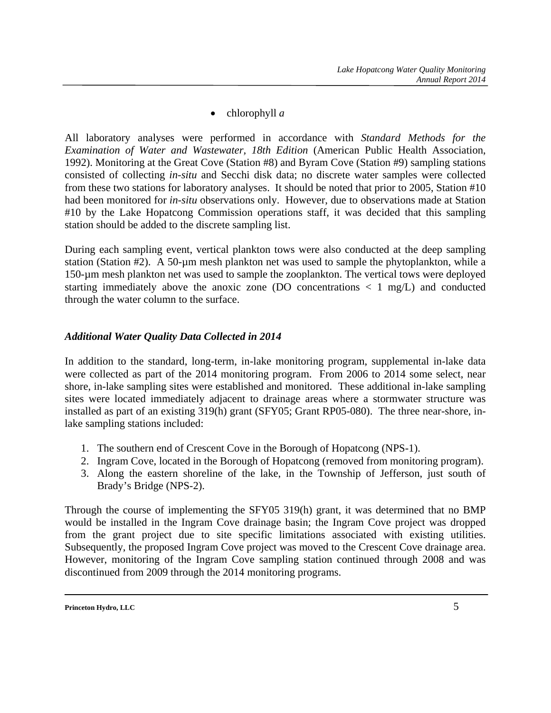• chlorophyll *a* 

All laboratory analyses were performed in accordance with *Standard Methods for the Examination of Water and Wastewater, 18th Edition* (American Public Health Association, 1992). Monitoring at the Great Cove (Station #8) and Byram Cove (Station #9) sampling stations consisted of collecting *in-situ* and Secchi disk data; no discrete water samples were collected from these two stations for laboratory analyses. It should be noted that prior to 2005, Station #10 had been monitored for *in-situ* observations only. However, due to observations made at Station #10 by the Lake Hopatcong Commission operations staff, it was decided that this sampling station should be added to the discrete sampling list.

During each sampling event, vertical plankton tows were also conducted at the deep sampling station (Station #2). A 50-µm mesh plankton net was used to sample the phytoplankton, while a 150-µm mesh plankton net was used to sample the zooplankton. The vertical tows were deployed starting immediately above the anoxic zone (DO concentrations  $\langle 1 \text{ mg/L} \rangle$  and conducted through the water column to the surface.

#### *Additional Water Quality Data Collected in 2014*

In addition to the standard, long-term, in-lake monitoring program, supplemental in-lake data were collected as part of the 2014 monitoring program. From 2006 to 2014 some select, near shore, in-lake sampling sites were established and monitored. These additional in-lake sampling sites were located immediately adjacent to drainage areas where a stormwater structure was installed as part of an existing 319(h) grant (SFY05; Grant RP05-080). The three near-shore, inlake sampling stations included:

- 1. The southern end of Crescent Cove in the Borough of Hopatcong (NPS-1).
- 2. Ingram Cove, located in the Borough of Hopatcong (removed from monitoring program).
- 3. Along the eastern shoreline of the lake, in the Township of Jefferson, just south of Brady's Bridge (NPS-2).

Through the course of implementing the SFY05 319(h) grant, it was determined that no BMP would be installed in the Ingram Cove drainage basin; the Ingram Cove project was dropped from the grant project due to site specific limitations associated with existing utilities. Subsequently, the proposed Ingram Cove project was moved to the Crescent Cove drainage area. However, monitoring of the Ingram Cove sampling station continued through 2008 and was discontinued from 2009 through the 2014 monitoring programs.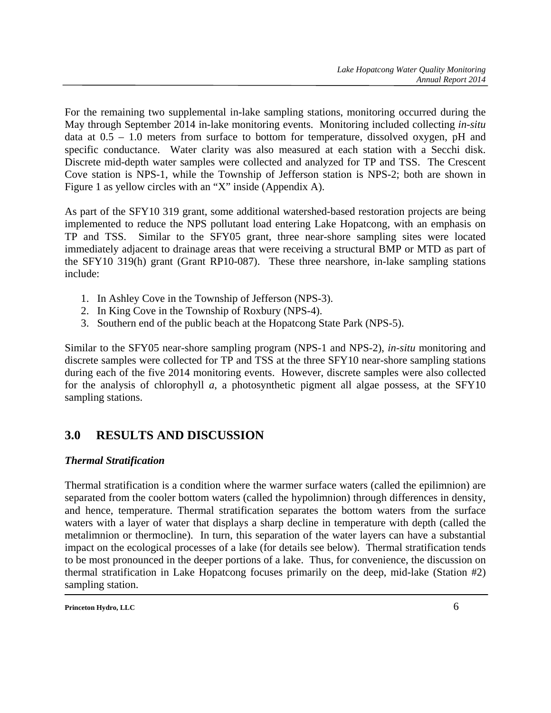For the remaining two supplemental in-lake sampling stations, monitoring occurred during the May through September 2014 in-lake monitoring events. Monitoring included collecting *in-situ* data at 0.5 – 1.0 meters from surface to bottom for temperature, dissolved oxygen, pH and specific conductance. Water clarity was also measured at each station with a Secchi disk. Discrete mid-depth water samples were collected and analyzed for TP and TSS. The Crescent Cove station is NPS-1, while the Township of Jefferson station is NPS-2; both are shown in Figure 1 as yellow circles with an "X" inside (Appendix A).

As part of the SFY10 319 grant, some additional watershed-based restoration projects are being implemented to reduce the NPS pollutant load entering Lake Hopatcong, with an emphasis on TP and TSS. Similar to the SFY05 grant, three near-shore sampling sites were located immediately adjacent to drainage areas that were receiving a structural BMP or MTD as part of the SFY10 319(h) grant (Grant RP10-087). These three nearshore, in-lake sampling stations include:

- 1. In Ashley Cove in the Township of Jefferson (NPS-3).
- 2. In King Cove in the Township of Roxbury (NPS-4).
- 3. Southern end of the public beach at the Hopatcong State Park (NPS-5).

Similar to the SFY05 near-shore sampling program (NPS-1 and NPS-2), *in-situ* monitoring and discrete samples were collected for TP and TSS at the three SFY10 near-shore sampling stations during each of the five 2014 monitoring events. However, discrete samples were also collected for the analysis of chlorophyll *a*, a photosynthetic pigment all algae possess, at the SFY10 sampling stations.

### **3.0 RESULTS AND DISCUSSION**

#### *Thermal Stratification*

Thermal stratification is a condition where the warmer surface waters (called the epilimnion) are separated from the cooler bottom waters (called the hypolimnion) through differences in density, and hence, temperature. Thermal stratification separates the bottom waters from the surface waters with a layer of water that displays a sharp decline in temperature with depth (called the metalimnion or thermocline). In turn, this separation of the water layers can have a substantial impact on the ecological processes of a lake (for details see below). Thermal stratification tends to be most pronounced in the deeper portions of a lake. Thus, for convenience, the discussion on thermal stratification in Lake Hopatcong focuses primarily on the deep, mid-lake (Station #2) sampling station.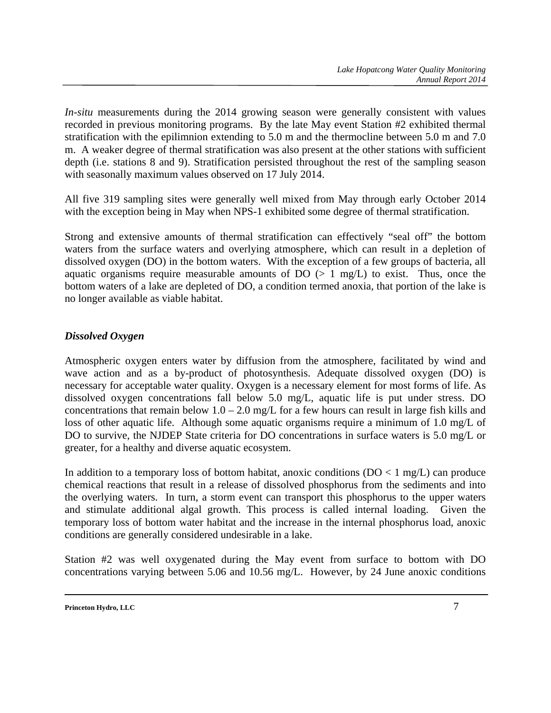*In-situ* measurements during the 2014 growing season were generally consistent with values recorded in previous monitoring programs. By the late May event Station #2 exhibited thermal stratification with the epilimnion extending to 5.0 m and the thermocline between 5.0 m and 7.0 m. A weaker degree of thermal stratification was also present at the other stations with sufficient depth (i.e. stations 8 and 9). Stratification persisted throughout the rest of the sampling season with seasonally maximum values observed on 17 July 2014.

All five 319 sampling sites were generally well mixed from May through early October 2014 with the exception being in May when NPS-1 exhibited some degree of thermal stratification.

Strong and extensive amounts of thermal stratification can effectively "seal off" the bottom waters from the surface waters and overlying atmosphere, which can result in a depletion of dissolved oxygen (DO) in the bottom waters. With the exception of a few groups of bacteria, all aquatic organisms require measurable amounts of  $DO \left( > 1 \text{ mg/L} \right)$  to exist. Thus, once the bottom waters of a lake are depleted of DO, a condition termed anoxia, that portion of the lake is no longer available as viable habitat.

#### *Dissolved Oxygen*

Atmospheric oxygen enters water by diffusion from the atmosphere, facilitated by wind and wave action and as a by-product of photosynthesis. Adequate dissolved oxygen (DO) is necessary for acceptable water quality. Oxygen is a necessary element for most forms of life. As dissolved oxygen concentrations fall below 5.0 mg/L, aquatic life is put under stress. DO concentrations that remain below  $1.0 - 2.0$  mg/L for a few hours can result in large fish kills and loss of other aquatic life. Although some aquatic organisms require a minimum of 1.0 mg/L of DO to survive, the NJDEP State criteria for DO concentrations in surface waters is 5.0 mg/L or greater, for a healthy and diverse aquatic ecosystem.

In addition to a temporary loss of bottom habitat, anoxic conditions  $(DO < 1 mg/L)$  can produce chemical reactions that result in a release of dissolved phosphorus from the sediments and into the overlying waters. In turn, a storm event can transport this phosphorus to the upper waters and stimulate additional algal growth. This process is called internal loading. Given the temporary loss of bottom water habitat and the increase in the internal phosphorus load, anoxic conditions are generally considered undesirable in a lake.

Station #2 was well oxygenated during the May event from surface to bottom with DO concentrations varying between 5.06 and 10.56 mg/L. However, by 24 June anoxic conditions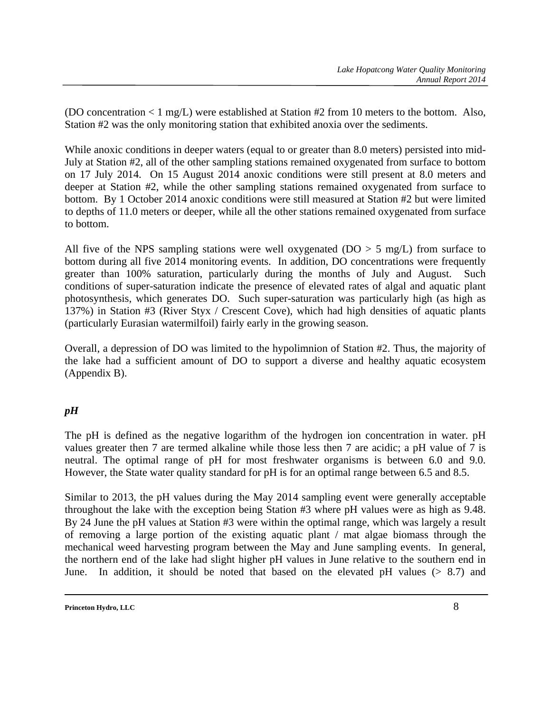(DO concentration < 1 mg/L) were established at Station #2 from 10 meters to the bottom. Also, Station #2 was the only monitoring station that exhibited anoxia over the sediments.

While anoxic conditions in deeper waters (equal to or greater than 8.0 meters) persisted into mid-July at Station #2, all of the other sampling stations remained oxygenated from surface to bottom on 17 July 2014. On 15 August 2014 anoxic conditions were still present at 8.0 meters and deeper at Station #2, while the other sampling stations remained oxygenated from surface to bottom. By 1 October 2014 anoxic conditions were still measured at Station #2 but were limited to depths of 11.0 meters or deeper, while all the other stations remained oxygenated from surface to bottom.

All five of the NPS sampling stations were well oxygenated ( $DO > 5$  mg/L) from surface to bottom during all five 2014 monitoring events. In addition, DO concentrations were frequently greater than 100% saturation, particularly during the months of July and August. Such conditions of super-saturation indicate the presence of elevated rates of algal and aquatic plant photosynthesis, which generates DO. Such super-saturation was particularly high (as high as 137%) in Station #3 (River Styx / Crescent Cove), which had high densities of aquatic plants (particularly Eurasian watermilfoil) fairly early in the growing season.

Overall, a depression of DO was limited to the hypolimnion of Station #2. Thus, the majority of the lake had a sufficient amount of DO to support a diverse and healthy aquatic ecosystem (Appendix B).

#### *pH*

The pH is defined as the negative logarithm of the hydrogen ion concentration in water. pH values greater then 7 are termed alkaline while those less then 7 are acidic; a pH value of 7 is neutral. The optimal range of pH for most freshwater organisms is between 6.0 and 9.0. However, the State water quality standard for pH is for an optimal range between 6.5 and 8.5.

Similar to 2013, the pH values during the May 2014 sampling event were generally acceptable throughout the lake with the exception being Station #3 where pH values were as high as 9.48. By 24 June the pH values at Station #3 were within the optimal range, which was largely a result of removing a large portion of the existing aquatic plant / mat algae biomass through the mechanical weed harvesting program between the May and June sampling events. In general, the northern end of the lake had slight higher pH values in June relative to the southern end in June. In addition, it should be noted that based on the elevated pH values  $(> 8.7)$  and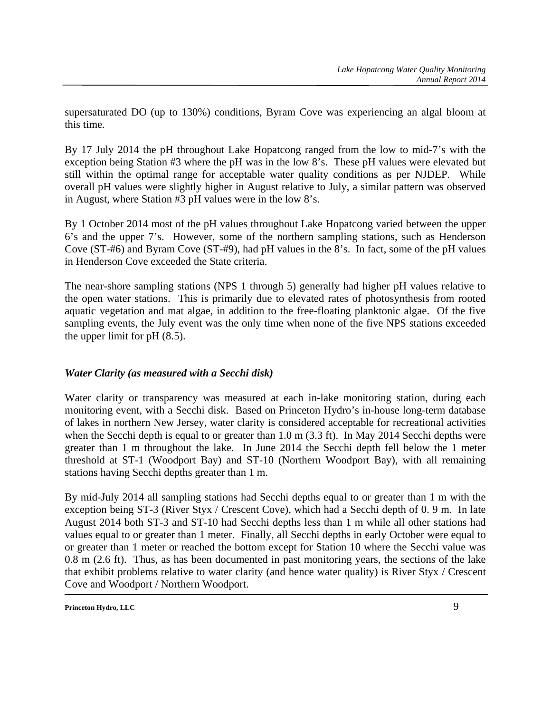supersaturated DO (up to 130%) conditions, Byram Cove was experiencing an algal bloom at this time.

By 17 July 2014 the pH throughout Lake Hopatcong ranged from the low to mid-7's with the exception being Station #3 where the pH was in the low 8's. These pH values were elevated but still within the optimal range for acceptable water quality conditions as per NJDEP. While overall pH values were slightly higher in August relative to July, a similar pattern was observed in August, where Station #3 pH values were in the low 8's.

By 1 October 2014 most of the pH values throughout Lake Hopatcong varied between the upper 6's and the upper 7's. However, some of the northern sampling stations, such as Henderson Cove (ST-#6) and Byram Cove (ST-#9), had pH values in the 8's. In fact, some of the pH values in Henderson Cove exceeded the State criteria.

The near-shore sampling stations (NPS 1 through 5) generally had higher pH values relative to the open water stations. This is primarily due to elevated rates of photosynthesis from rooted aquatic vegetation and mat algae, in addition to the free-floating planktonic algae. Of the five sampling events, the July event was the only time when none of the five NPS stations exceeded the upper limit for pH (8.5).

#### *Water Clarity (as measured with a Secchi disk)*

Water clarity or transparency was measured at each in-lake monitoring station, during each monitoring event, with a Secchi disk. Based on Princeton Hydro's in-house long-term database of lakes in northern New Jersey, water clarity is considered acceptable for recreational activities when the Secchi depth is equal to or greater than 1.0 m (3.3 ft). In May 2014 Secchi depths were greater than 1 m throughout the lake. In June 2014 the Secchi depth fell below the 1 meter threshold at ST-1 (Woodport Bay) and ST-10 (Northern Woodport Bay), with all remaining stations having Secchi depths greater than 1 m.

By mid-July 2014 all sampling stations had Secchi depths equal to or greater than 1 m with the exception being ST-3 (River Styx / Crescent Cove), which had a Secchi depth of 0. 9 m. In late August 2014 both ST-3 and ST-10 had Secchi depths less than 1 m while all other stations had values equal to or greater than 1 meter. Finally, all Secchi depths in early October were equal to or greater than 1 meter or reached the bottom except for Station 10 where the Secchi value was 0.8 m (2.6 ft). Thus, as has been documented in past monitoring years, the sections of the lake that exhibit problems relative to water clarity (and hence water quality) is River Styx / Crescent Cove and Woodport / Northern Woodport.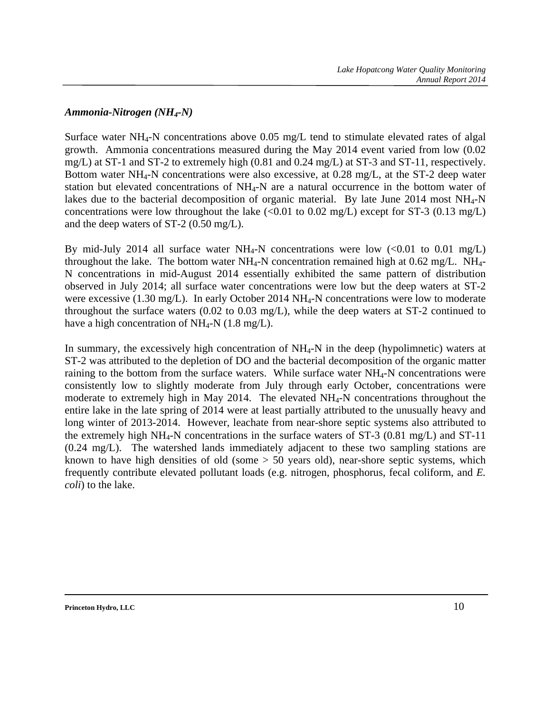#### *Ammonia-Nitrogen (NH4-N)*

Surface water NH4-N concentrations above 0.05 mg/L tend to stimulate elevated rates of algal growth. Ammonia concentrations measured during the May 2014 event varied from low (0.02 mg/L) at ST-1 and ST-2 to extremely high (0.81 and 0.24 mg/L) at ST-3 and ST-11, respectively. Bottom water NH4-N concentrations were also excessive, at 0.28 mg/L, at the ST-2 deep water station but elevated concentrations of NH4-N are a natural occurrence in the bottom water of lakes due to the bacterial decomposition of organic material. By late June 2014 most  $NH_{4}-N$ concentrations were low throughout the lake  $\ll 0.01$  to 0.02 mg/L) except for ST-3 (0.13 mg/L) and the deep waters of ST-2 (0.50 mg/L).

By mid-July 2014 all surface water NH<sub>4</sub>-N concentrations were low  $(<0.01$  to 0.01 mg/L) throughout the lake. The bottom water  $NH_4$ -N concentration remained high at 0.62 mg/L.  $NH_4$ -N concentrations in mid-August 2014 essentially exhibited the same pattern of distribution observed in July 2014; all surface water concentrations were low but the deep waters at ST-2 were excessive (1.30 mg/L). In early October 2014 NH<sub>4</sub>-N concentrations were low to moderate throughout the surface waters (0.02 to 0.03 mg/L), while the deep waters at ST-2 continued to have a high concentration of  $NH_4-N$  (1.8 mg/L).

In summary, the excessively high concentration of  $NH<sub>4</sub>-N$  in the deep (hypolimnetic) waters at ST-2 was attributed to the depletion of DO and the bacterial decomposition of the organic matter raining to the bottom from the surface waters. While surface water NH<sub>4</sub>-N concentrations were consistently low to slightly moderate from July through early October, concentrations were moderate to extremely high in May 2014. The elevated NH4-N concentrations throughout the entire lake in the late spring of 2014 were at least partially attributed to the unusually heavy and long winter of 2013-2014. However, leachate from near-shore septic systems also attributed to the extremely high NH<sub>4</sub>-N concentrations in the surface waters of  $ST-3$  (0.81 mg/L) and  $ST-11$ (0.24 mg/L). The watershed lands immediately adjacent to these two sampling stations are known to have high densities of old (some  $> 50$  years old), near-shore septic systems, which frequently contribute elevated pollutant loads (e.g. nitrogen, phosphorus, fecal coliform, and *E. coli*) to the lake.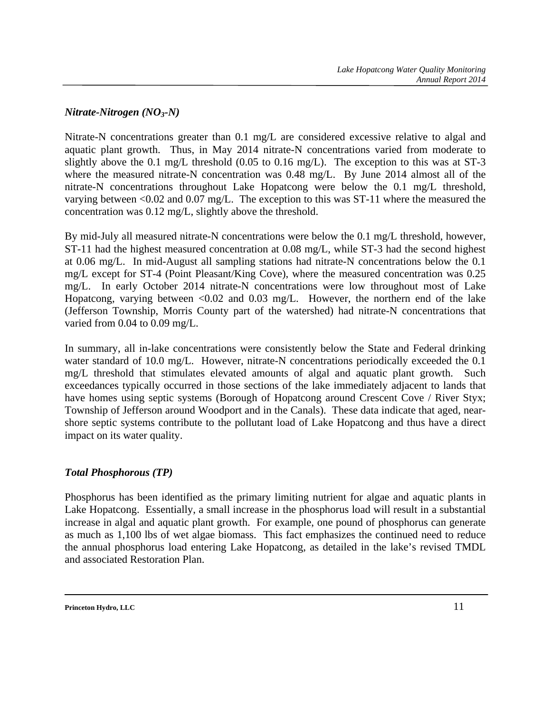#### *Nitrate-Nitrogen (NO3-N)*

Nitrate-N concentrations greater than 0.1 mg/L are considered excessive relative to algal and aquatic plant growth. Thus, in May 2014 nitrate-N concentrations varied from moderate to slightly above the 0.1 mg/L threshold (0.05 to 0.16 mg/L). The exception to this was at ST-3 where the measured nitrate-N concentration was 0.48 mg/L. By June 2014 almost all of the nitrate-N concentrations throughout Lake Hopatcong were below the 0.1 mg/L threshold, varying between <0.02 and 0.07 mg/L. The exception to this was ST-11 where the measured the concentration was 0.12 mg/L, slightly above the threshold.

By mid-July all measured nitrate-N concentrations were below the 0.1 mg/L threshold, however, ST-11 had the highest measured concentration at 0.08 mg/L, while ST-3 had the second highest at 0.06 mg/L. In mid-August all sampling stations had nitrate-N concentrations below the 0.1 mg/L except for ST-4 (Point Pleasant/King Cove), where the measured concentration was 0.25 mg/L. In early October 2014 nitrate-N concentrations were low throughout most of Lake Hopatcong, varying between  $\langle 0.02 \rangle$  and  $0.03 \text{ mg/L}$ . However, the northern end of the lake (Jefferson Township, Morris County part of the watershed) had nitrate-N concentrations that varied from 0.04 to 0.09 mg/L.

In summary, all in-lake concentrations were consistently below the State and Federal drinking water standard of 10.0 mg/L. However, nitrate-N concentrations periodically exceeded the 0.1 mg/L threshold that stimulates elevated amounts of algal and aquatic plant growth. Such exceedances typically occurred in those sections of the lake immediately adjacent to lands that have homes using septic systems (Borough of Hopatcong around Crescent Cove / River Styx; Township of Jefferson around Woodport and in the Canals). These data indicate that aged, nearshore septic systems contribute to the pollutant load of Lake Hopatcong and thus have a direct impact on its water quality.

#### *Total Phosphorous (TP)*

Phosphorus has been identified as the primary limiting nutrient for algae and aquatic plants in Lake Hopatcong. Essentially, a small increase in the phosphorus load will result in a substantial increase in algal and aquatic plant growth. For example, one pound of phosphorus can generate as much as 1,100 lbs of wet algae biomass. This fact emphasizes the continued need to reduce the annual phosphorus load entering Lake Hopatcong, as detailed in the lake's revised TMDL and associated Restoration Plan.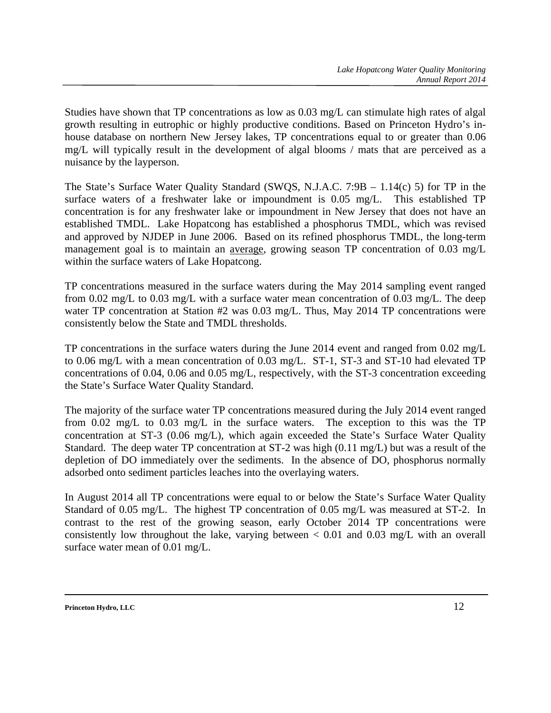Studies have shown that TP concentrations as low as 0.03 mg/L can stimulate high rates of algal growth resulting in eutrophic or highly productive conditions. Based on Princeton Hydro's inhouse database on northern New Jersey lakes, TP concentrations equal to or greater than 0.06 mg/L will typically result in the development of algal blooms / mats that are perceived as a nuisance by the layperson.

The State's Surface Water Quality Standard (SWQS, N.J.A.C. 7:9B – 1.14(c) 5) for TP in the surface waters of a freshwater lake or impoundment is 0.05 mg/L. This established TP concentration is for any freshwater lake or impoundment in New Jersey that does not have an established TMDL. Lake Hopatcong has established a phosphorus TMDL, which was revised and approved by NJDEP in June 2006. Based on its refined phosphorus TMDL, the long-term management goal is to maintain an average, growing season TP concentration of 0.03 mg/L within the surface waters of Lake Hopatcong.

TP concentrations measured in the surface waters during the May 2014 sampling event ranged from 0.02 mg/L to 0.03 mg/L with a surface water mean concentration of 0.03 mg/L. The deep water TP concentration at Station #2 was 0.03 mg/L. Thus, May 2014 TP concentrations were consistently below the State and TMDL thresholds.

TP concentrations in the surface waters during the June 2014 event and ranged from 0.02 mg/L to 0.06 mg/L with a mean concentration of 0.03 mg/L. ST-1, ST-3 and ST-10 had elevated TP concentrations of 0.04, 0.06 and 0.05 mg/L, respectively, with the ST-3 concentration exceeding the State's Surface Water Quality Standard.

The majority of the surface water TP concentrations measured during the July 2014 event ranged from 0.02 mg/L to 0.03 mg/L in the surface waters. The exception to this was the TP concentration at ST-3 (0.06 mg/L), which again exceeded the State's Surface Water Quality Standard. The deep water TP concentration at ST-2 was high (0.11 mg/L) but was a result of the depletion of DO immediately over the sediments. In the absence of DO, phosphorus normally adsorbed onto sediment particles leaches into the overlaying waters.

In August 2014 all TP concentrations were equal to or below the State's Surface Water Quality Standard of 0.05 mg/L. The highest TP concentration of 0.05 mg/L was measured at ST-2. In contrast to the rest of the growing season, early October 2014 TP concentrations were consistently low throughout the lake, varying between  $< 0.01$  and 0.03 mg/L with an overall surface water mean of 0.01 mg/L.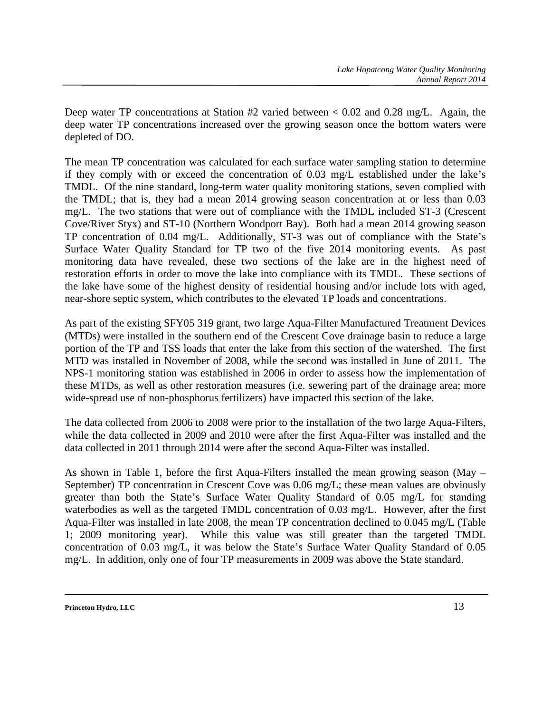Deep water TP concentrations at Station #2 varied between < 0.02 and 0.28 mg/L. Again, the deep water TP concentrations increased over the growing season once the bottom waters were depleted of DO.

The mean TP concentration was calculated for each surface water sampling station to determine if they comply with or exceed the concentration of 0.03 mg/L established under the lake's TMDL. Of the nine standard, long-term water quality monitoring stations, seven complied with the TMDL; that is, they had a mean 2014 growing season concentration at or less than 0.03 mg/L. The two stations that were out of compliance with the TMDL included ST-3 (Crescent Cove/River Styx) and ST-10 (Northern Woodport Bay). Both had a mean 2014 growing season TP concentration of 0.04 mg/L. Additionally, ST-3 was out of compliance with the State's Surface Water Quality Standard for TP two of the five 2014 monitoring events. As past monitoring data have revealed, these two sections of the lake are in the highest need of restoration efforts in order to move the lake into compliance with its TMDL. These sections of the lake have some of the highest density of residential housing and/or include lots with aged, near-shore septic system, which contributes to the elevated TP loads and concentrations.

As part of the existing SFY05 319 grant, two large Aqua-Filter Manufactured Treatment Devices (MTDs) were installed in the southern end of the Crescent Cove drainage basin to reduce a large portion of the TP and TSS loads that enter the lake from this section of the watershed. The first MTD was installed in November of 2008, while the second was installed in June of 2011. The NPS-1 monitoring station was established in 2006 in order to assess how the implementation of these MTDs, as well as other restoration measures (i.e. sewering part of the drainage area; more wide-spread use of non-phosphorus fertilizers) have impacted this section of the lake.

The data collected from 2006 to 2008 were prior to the installation of the two large Aqua-Filters, while the data collected in 2009 and 2010 were after the first Aqua-Filter was installed and the data collected in 2011 through 2014 were after the second Aqua-Filter was installed.

As shown in Table 1, before the first Aqua-Filters installed the mean growing season (May – September) TP concentration in Crescent Cove was 0.06 mg/L; these mean values are obviously greater than both the State's Surface Water Quality Standard of 0.05 mg/L for standing waterbodies as well as the targeted TMDL concentration of 0.03 mg/L. However, after the first Aqua-Filter was installed in late 2008, the mean TP concentration declined to 0.045 mg/L (Table 1; 2009 monitoring year). While this value was still greater than the targeted TMDL concentration of 0.03 mg/L, it was below the State's Surface Water Quality Standard of 0.05 mg/L. In addition, only one of four TP measurements in 2009 was above the State standard.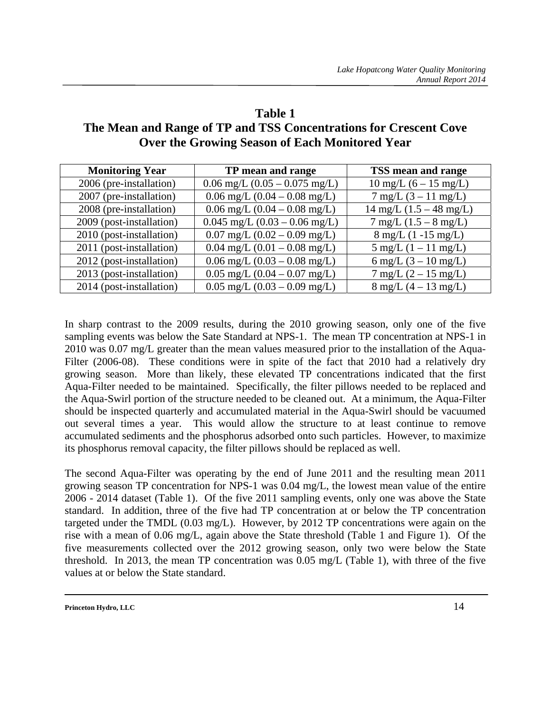### **Table 1**

### **The Mean and Range of TP and TSS Concentrations for Crescent Cove Over the Growing Season of Each Monitored Year**

| <b>Monitoring Year</b>   | TP mean and range                                | TSS mean and range                        |
|--------------------------|--------------------------------------------------|-------------------------------------------|
| 2006 (pre-installation)  | $0.06$ mg/L $(0.05 - 0.075$ mg/L)                | $10 \text{ mg/L}$ (6 – 15 mg/L)           |
| 2007 (pre-installation)  | $0.06$ mg/L $(0.04 - 0.08$ mg/L)                 | $7 \text{ mg/L} (3 - 11 \text{ mg/L})$    |
| 2008 (pre-installation)  | $0.06$ mg/L $(0.04 - 0.08$ mg/L)                 | $14 \text{ mg/L} (1.5 - 48 \text{ mg/L})$ |
| 2009 (post-installation) | $0.045$ mg/L $(0.03 - 0.06$ mg/L)                | $7 \text{ mg/L}$ (1.5 – 8 mg/L)           |
| 2010 (post-installation) | $0.07 \text{ mg/L}$ $(0.02 - 0.09 \text{ mg/L})$ | $8 \text{ mg/L}$ (1 -15 mg/L)             |
| 2011 (post-installation) | $0.04$ mg/L $(0.01 - 0.08$ mg/L)                 | $5 \text{ mg/L} (1 - 11 \text{ mg/L})$    |
| 2012 (post-installation) | $0.06$ mg/L $(0.03 - 0.08$ mg/L)                 | 6 mg/L $(3 - 10 \text{ mg/L})$            |
| 2013 (post-installation) | $0.05$ mg/L $(0.04 - 0.07$ mg/L)                 | $7 \text{ mg/L} (2 - 15 \text{ mg/L})$    |
| 2014 (post-installation) | $0.05$ mg/L $(0.03 - 0.09$ mg/L)                 | $8 \text{ mg/L} (4 - 13 \text{ mg/L})$    |

In sharp contrast to the 2009 results, during the 2010 growing season, only one of the five sampling events was below the Sate Standard at NPS-1. The mean TP concentration at NPS-1 in 2010 was 0.07 mg/L greater than the mean values measured prior to the installation of the Aqua-Filter (2006-08). These conditions were in spite of the fact that 2010 had a relatively dry growing season. More than likely, these elevated TP concentrations indicated that the first Aqua-Filter needed to be maintained. Specifically, the filter pillows needed to be replaced and the Aqua-Swirl portion of the structure needed to be cleaned out. At a minimum, the Aqua-Filter should be inspected quarterly and accumulated material in the Aqua-Swirl should be vacuumed out several times a year. This would allow the structure to at least continue to remove accumulated sediments and the phosphorus adsorbed onto such particles. However, to maximize its phosphorus removal capacity, the filter pillows should be replaced as well.

The second Aqua-Filter was operating by the end of June 2011 and the resulting mean 2011 growing season TP concentration for NPS-1 was 0.04 mg/L, the lowest mean value of the entire 2006 - 2014 dataset (Table 1). Of the five 2011 sampling events, only one was above the State standard. In addition, three of the five had TP concentration at or below the TP concentration targeted under the TMDL (0.03 mg/L). However, by 2012 TP concentrations were again on the rise with a mean of 0.06 mg/L, again above the State threshold (Table 1 and Figure 1). Of the five measurements collected over the 2012 growing season, only two were below the State threshold. In 2013, the mean TP concentration was 0.05 mg/L (Table 1), with three of the five values at or below the State standard.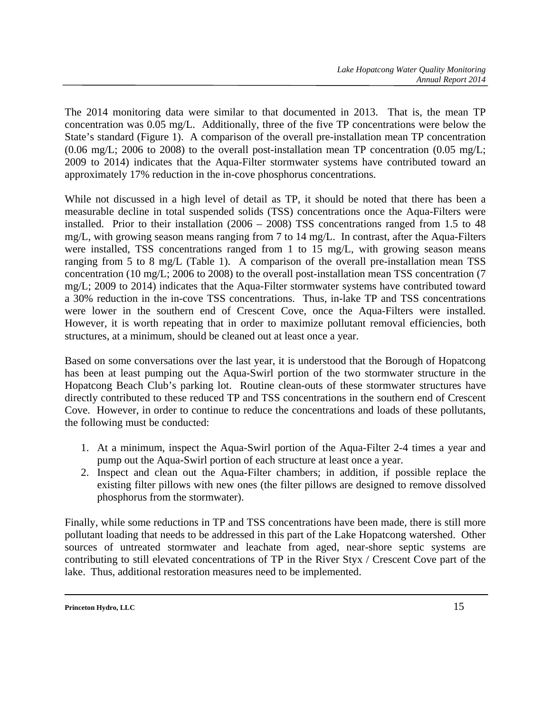The 2014 monitoring data were similar to that documented in 2013. That is, the mean TP concentration was 0.05 mg/L. Additionally, three of the five TP concentrations were below the State's standard (Figure 1). A comparison of the overall pre-installation mean TP concentration  $(0.06 \text{ mg/L}; 2006 \text{ to } 2008)$  to the overall post-installation mean TP concentration  $(0.05 \text{ mg/L};$ 2009 to 2014) indicates that the Aqua-Filter stormwater systems have contributed toward an approximately 17% reduction in the in-cove phosphorus concentrations.

While not discussed in a high level of detail as TP, it should be noted that there has been a measurable decline in total suspended solids (TSS) concentrations once the Aqua-Filters were installed. Prior to their installation (2006 – 2008) TSS concentrations ranged from 1.5 to 48 mg/L, with growing season means ranging from 7 to 14 mg/L. In contrast, after the Aqua-Filters were installed, TSS concentrations ranged from 1 to 15 mg/L, with growing season means ranging from 5 to 8 mg/L (Table 1). A comparison of the overall pre-installation mean TSS concentration (10 mg/L; 2006 to 2008) to the overall post-installation mean TSS concentration (7 mg/L; 2009 to 2014) indicates that the Aqua-Filter stormwater systems have contributed toward a 30% reduction in the in-cove TSS concentrations. Thus, in-lake TP and TSS concentrations were lower in the southern end of Crescent Cove, once the Aqua-Filters were installed. However, it is worth repeating that in order to maximize pollutant removal efficiencies, both structures, at a minimum, should be cleaned out at least once a year.

Based on some conversations over the last year, it is understood that the Borough of Hopatcong has been at least pumping out the Aqua-Swirl portion of the two stormwater structure in the Hopatcong Beach Club's parking lot. Routine clean-outs of these stormwater structures have directly contributed to these reduced TP and TSS concentrations in the southern end of Crescent Cove. However, in order to continue to reduce the concentrations and loads of these pollutants, the following must be conducted:

- 1. At a minimum, inspect the Aqua-Swirl portion of the Aqua-Filter 2-4 times a year and pump out the Aqua-Swirl portion of each structure at least once a year.
- 2. Inspect and clean out the Aqua-Filter chambers; in addition, if possible replace the existing filter pillows with new ones (the filter pillows are designed to remove dissolved phosphorus from the stormwater).

Finally, while some reductions in TP and TSS concentrations have been made, there is still more pollutant loading that needs to be addressed in this part of the Lake Hopatcong watershed. Other sources of untreated stormwater and leachate from aged, near-shore septic systems are contributing to still elevated concentrations of TP in the River Styx / Crescent Cove part of the lake. Thus, additional restoration measures need to be implemented.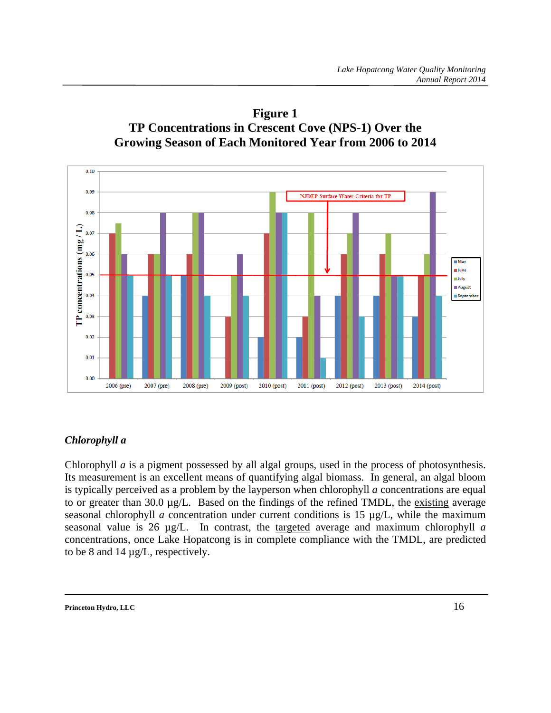



#### *Chlorophyll a*

Chlorophyll *a* is a pigment possessed by all algal groups, used in the process of photosynthesis. Its measurement is an excellent means of quantifying algal biomass. In general, an algal bloom is typically perceived as a problem by the layperson when chlorophyll *a* concentrations are equal to or greater than 30.0 µg/L. Based on the findings of the refined TMDL, the existing average seasonal chlorophyll *a* concentration under current conditions is 15 µg/L, while the maximum seasonal value is 26 µg/L. In contrast, the targeted average and maximum chlorophyll *a* concentrations, once Lake Hopatcong is in complete compliance with the TMDL, are predicted to be 8 and 14 µg/L, respectively.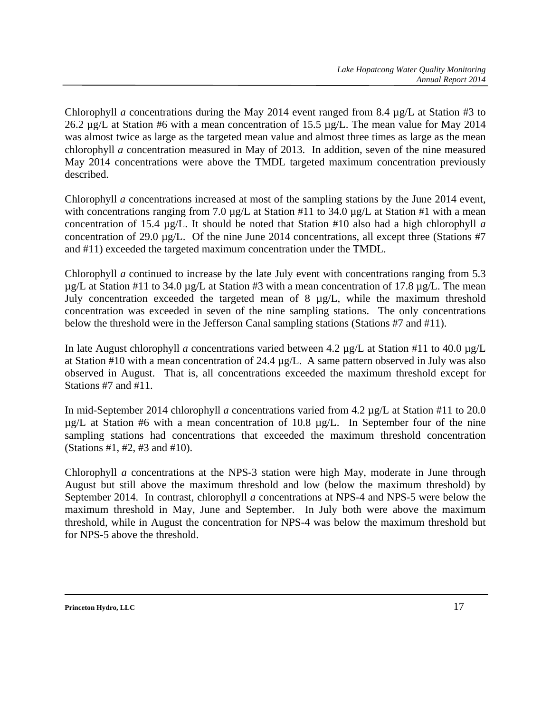Chlorophyll *a* concentrations during the May 2014 event ranged from 8.4 µg/L at Station #3 to 26.2 µg/L at Station #6 with a mean concentration of 15.5 µg/L. The mean value for May 2014 was almost twice as large as the targeted mean value and almost three times as large as the mean chlorophyll *a* concentration measured in May of 2013. In addition, seven of the nine measured May 2014 concentrations were above the TMDL targeted maximum concentration previously described.

Chlorophyll *a* concentrations increased at most of the sampling stations by the June 2014 event, with concentrations ranging from 7.0  $\mu$ g/L at Station #11 to 34.0  $\mu$ g/L at Station #1 with a mean concentration of 15.4 µg/L. It should be noted that Station #10 also had a high chlorophyll *a* concentration of 29.0 µg/L. Of the nine June 2014 concentrations, all except three (Stations #7 and #11) exceeded the targeted maximum concentration under the TMDL.

Chlorophyll *a* continued to increase by the late July event with concentrations ranging from 5.3  $\mu$ g/L at Station #11 to 34.0  $\mu$ g/L at Station #3 with a mean concentration of 17.8  $\mu$ g/L. The mean July concentration exceeded the targeted mean of 8 µg/L, while the maximum threshold concentration was exceeded in seven of the nine sampling stations. The only concentrations below the threshold were in the Jefferson Canal sampling stations (Stations #7 and #11).

In late August chlorophyll *a* concentrations varied between 4.2 µg/L at Station #11 to 40.0 µg/L at Station #10 with a mean concentration of 24.4 µg/L. A same pattern observed in July was also observed in August. That is, all concentrations exceeded the maximum threshold except for Stations #7 and #11.

In mid-September 2014 chlorophyll *a* concentrations varied from 4.2 µg/L at Station #11 to 20.0 µg/L at Station #6 with a mean concentration of 10.8 µg/L. In September four of the nine sampling stations had concentrations that exceeded the maximum threshold concentration (Stations #1, #2, #3 and #10).

Chlorophyll *a* concentrations at the NPS-3 station were high May, moderate in June through August but still above the maximum threshold and low (below the maximum threshold) by September 2014. In contrast, chlorophyll *a* concentrations at NPS-4 and NPS-5 were below the maximum threshold in May, June and September. In July both were above the maximum threshold, while in August the concentration for NPS-4 was below the maximum threshold but for NPS-5 above the threshold.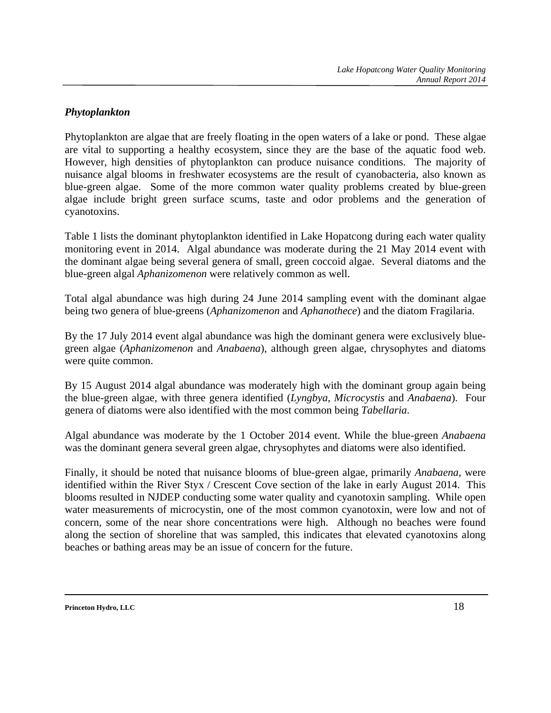#### *Phytoplankton*

Phytoplankton are algae that are freely floating in the open waters of a lake or pond. These algae are vital to supporting a healthy ecosystem, since they are the base of the aquatic food web. However, high densities of phytoplankton can produce nuisance conditions. The majority of nuisance algal blooms in freshwater ecosystems are the result of cyanobacteria, also known as blue-green algae. Some of the more common water quality problems created by blue-green algae include bright green surface scums, taste and odor problems and the generation of cyanotoxins.

Table 1 lists the dominant phytoplankton identified in Lake Hopatcong during each water quality monitoring event in 2014. Algal abundance was moderate during the 21 May 2014 event with the dominant algae being several genera of small, green coccoid algae. Several diatoms and the blue-green algal *Aphanizomenon* were relatively common as well.

Total algal abundance was high during 24 June 2014 sampling event with the dominant algae being two genera of blue-greens (*Aphanizomenon* and *Aphanothece*) and the diatom Fragilaria.

By the 17 July 2014 event algal abundance was high the dominant genera were exclusively bluegreen algae (*Aphanizomenon* and *Anabaena*), although green algae, chrysophytes and diatoms were quite common.

By 15 August 2014 algal abundance was moderately high with the dominant group again being the blue-green algae, with three genera identified (*Lyngbya*, *Microcystis* and *Anabaena*). Four genera of diatoms were also identified with the most common being *Tabellaria*.

Algal abundance was moderate by the 1 October 2014 event. While the blue-green *Anabaena* was the dominant genera several green algae, chrysophytes and diatoms were also identified.

Finally, it should be noted that nuisance blooms of blue-green algae, primarily *Anabaena*, were identified within the River Styx / Crescent Cove section of the lake in early August 2014. This blooms resulted in NJDEP conducting some water quality and cyanotoxin sampling. While open water measurements of microcystin, one of the most common cyanotoxin, were low and not of concern, some of the near shore concentrations were high. Although no beaches were found along the section of shoreline that was sampled, this indicates that elevated cyanotoxins along beaches or bathing areas may be an issue of concern for the future.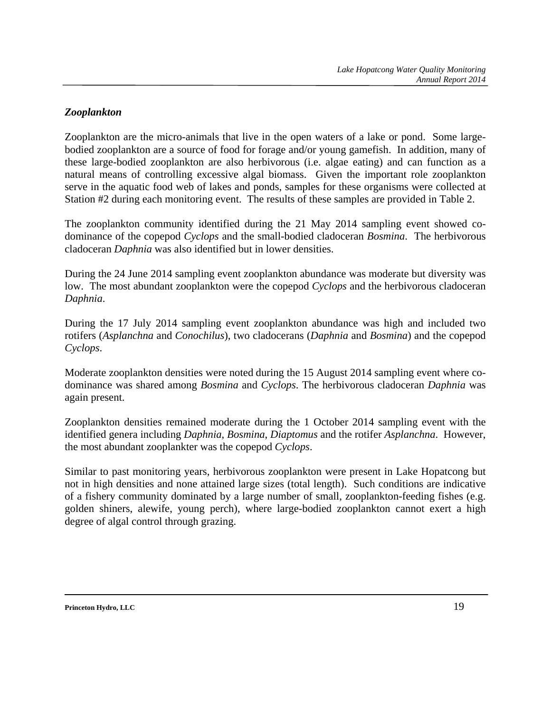#### *Zooplankton*

Zooplankton are the micro-animals that live in the open waters of a lake or pond. Some largebodied zooplankton are a source of food for forage and/or young gamefish. In addition, many of these large-bodied zooplankton are also herbivorous (i.e. algae eating) and can function as a natural means of controlling excessive algal biomass. Given the important role zooplankton serve in the aquatic food web of lakes and ponds, samples for these organisms were collected at Station #2 during each monitoring event. The results of these samples are provided in Table 2.

The zooplankton community identified during the 21 May 2014 sampling event showed codominance of the copepod *Cyclops* and the small-bodied cladoceran *Bosmina*. The herbivorous cladoceran *Daphnia* was also identified but in lower densities.

During the 24 June 2014 sampling event zooplankton abundance was moderate but diversity was low. The most abundant zooplankton were the copepod *Cyclops* and the herbivorous cladoceran *Daphnia*.

During the 17 July 2014 sampling event zooplankton abundance was high and included two rotifers (*Asplanchna* and *Conochilus*), two cladocerans (*Daphnia* and *Bosmina*) and the copepod *Cyclops*.

Moderate zooplankton densities were noted during the 15 August 2014 sampling event where codominance was shared among *Bosmina* and *Cyclops*. The herbivorous cladoceran *Daphnia* was again present.

Zooplankton densities remained moderate during the 1 October 2014 sampling event with the identified genera including *Daphnia*, *Bosmina*, *Diaptomus* and the rotifer *Asplanchna*. However, the most abundant zooplankter was the copepod *Cyclops*.

Similar to past monitoring years, herbivorous zooplankton were present in Lake Hopatcong but not in high densities and none attained large sizes (total length). Such conditions are indicative of a fishery community dominated by a large number of small, zooplankton-feeding fishes (e.g. golden shiners, alewife, young perch), where large-bodied zooplankton cannot exert a high degree of algal control through grazing.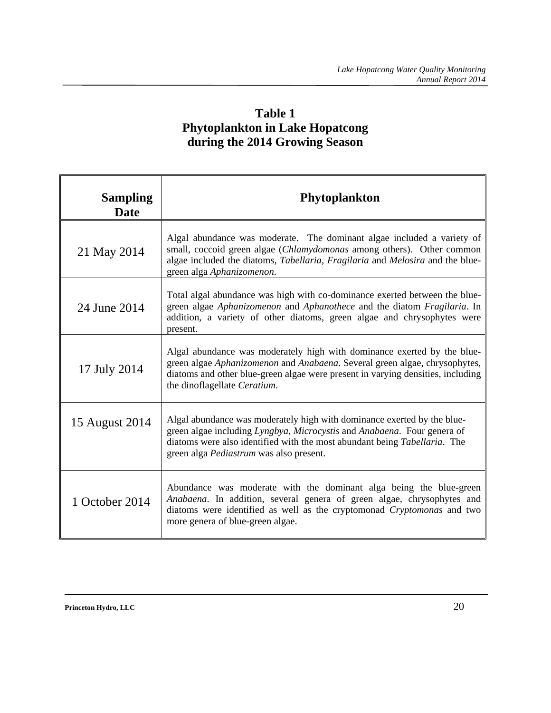## **Table 1 Phytoplankton in Lake Hopatcong during the 2014 Growing Season**

| <b>Sampling</b><br><b>Date</b> | <b>Phytoplankton</b>                                                                                                                                                                                                                                                               |
|--------------------------------|------------------------------------------------------------------------------------------------------------------------------------------------------------------------------------------------------------------------------------------------------------------------------------|
| 21 May 2014                    | Algal abundance was moderate. The dominant algae included a variety of<br>small, coccoid green algae (Chlamydomonas among others). Other common<br>algae included the diatoms, Tabellaria, Fragilaria and Melosira and the blue-<br>green alga Aphanizomenon.                      |
| 24 June 2014                   | Total algal abundance was high with co-dominance exerted between the blue-<br>green algae Aphanizomenon and Aphanothece and the diatom Fragilaria. In<br>addition, a variety of other diatoms, green algae and chrysophytes were<br>present.                                       |
| 17 July 2014                   | Algal abundance was moderately high with dominance exerted by the blue-<br>green algae Aphanizomenon and Anabaena. Several green algae, chrysophytes,<br>diatoms and other blue-green algae were present in varying densities, including<br>the dinoflagellate Ceratium.           |
| 15 August 2014                 | Algal abundance was moderately high with dominance exerted by the blue-<br>green algae including Lyngbya, Microcystis and Anabaena. Four genera of<br>diatoms were also identified with the most abundant being <i>Tabellaria</i> . The<br>green alga Pediastrum was also present. |
| 1 October 2014                 | Abundance was moderate with the dominant alga being the blue-green<br>Anabaena. In addition, several genera of green algae, chrysophytes and<br>diatoms were identified as well as the cryptomonad Cryptomonas and two<br>more genera of blue-green algae.                         |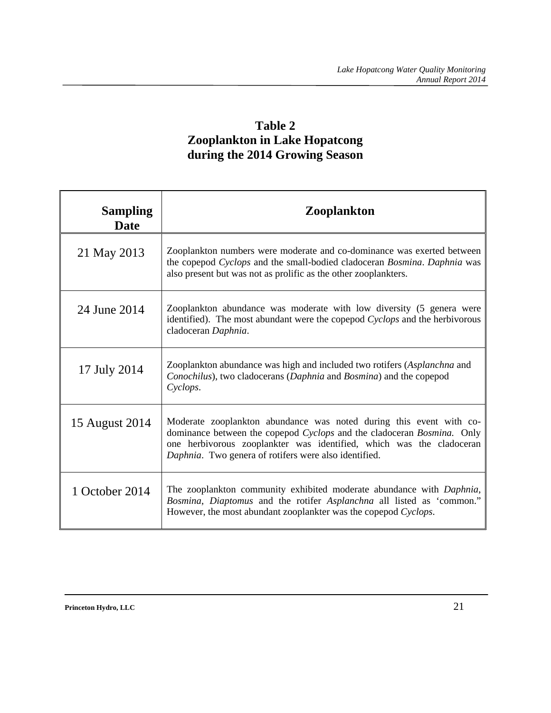## **Table 2 Zooplankton in Lake Hopatcong during the 2014 Growing Season**

| <b>Sampling</b><br><b>Date</b> | <b>Zooplankton</b>                                                                                                                                                                                                                                                             |
|--------------------------------|--------------------------------------------------------------------------------------------------------------------------------------------------------------------------------------------------------------------------------------------------------------------------------|
| 21 May 2013                    | Zooplankton numbers were moderate and co-dominance was exerted between<br>the copepod Cyclops and the small-bodied cladoceran Bosmina. Daphnia was<br>also present but was not as prolific as the other zooplankters.                                                          |
| 24 June 2014                   | Zooplankton abundance was moderate with low diversity (5 genera were<br>identified). The most abundant were the copepod Cyclops and the herbivorous<br>cladoceran Daphnia.                                                                                                     |
| 17 July 2014                   | Zooplankton abundance was high and included two rotifers (Asplanchna and<br>Conochilus), two cladocerans (Daphnia and Bosmina) and the copepod<br>Cyclops.                                                                                                                     |
| 15 August 2014                 | Moderate zooplankton abundance was noted during this event with co-<br>dominance between the copepod Cyclops and the cladoceran Bosmina. Only<br>one herbivorous zooplankter was identified, which was the cladoceran<br>Daphnia. Two genera of rotifers were also identified. |
| 1 October 2014                 | The zooplankton community exhibited moderate abundance with Daphnia,<br>Bosmina, Diaptomus and the rotifer Asplanchna all listed as 'common."<br>However, the most abundant zooplankter was the copepod Cyclops.                                                               |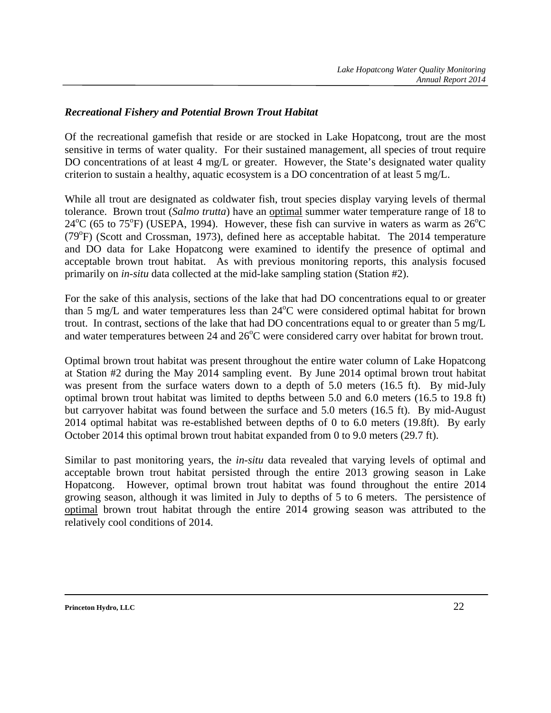#### *Recreational Fishery and Potential Brown Trout Habitat*

Of the recreational gamefish that reside or are stocked in Lake Hopatcong, trout are the most sensitive in terms of water quality. For their sustained management, all species of trout require DO concentrations of at least 4 mg/L or greater. However, the State's designated water quality criterion to sustain a healthy, aquatic ecosystem is a DO concentration of at least 5 mg/L.

While all trout are designated as coldwater fish, trout species display varying levels of thermal tolerance. Brown trout (*Salmo trutta*) have an optimal summer water temperature range of 18 to  $24^{\circ}$ C (65 to 75<sup>o</sup>F) (USEPA, 1994). However, these fish can survive in waters as warm as  $26^{\circ}$ C (79°F) (Scott and Crossman, 1973), defined here as acceptable habitat. The 2014 temperature and DO data for Lake Hopatcong were examined to identify the presence of optimal and acceptable brown trout habitat. As with previous monitoring reports, this analysis focused primarily on *in-situ* data collected at the mid-lake sampling station (Station #2).

For the sake of this analysis, sections of the lake that had DO concentrations equal to or greater than 5 mg/L and water temperatures less than  $24^{\circ}$ C were considered optimal habitat for brown trout. In contrast, sections of the lake that had DO concentrations equal to or greater than 5 mg/L and water temperatures between 24 and  $26^{\circ}$ C were considered carry over habitat for brown trout.

Optimal brown trout habitat was present throughout the entire water column of Lake Hopatcong at Station #2 during the May 2014 sampling event. By June 2014 optimal brown trout habitat was present from the surface waters down to a depth of 5.0 meters (16.5 ft). By mid-July optimal brown trout habitat was limited to depths between 5.0 and 6.0 meters (16.5 to 19.8 ft) but carryover habitat was found between the surface and 5.0 meters (16.5 ft). By mid-August 2014 optimal habitat was re-established between depths of 0 to 6.0 meters (19.8ft). By early October 2014 this optimal brown trout habitat expanded from 0 to 9.0 meters (29.7 ft).

Similar to past monitoring years, the *in-situ* data revealed that varying levels of optimal and acceptable brown trout habitat persisted through the entire 2013 growing season in Lake Hopatcong. However, optimal brown trout habitat was found throughout the entire 2014 growing season, although it was limited in July to depths of 5 to 6 meters. The persistence of optimal brown trout habitat through the entire 2014 growing season was attributed to the relatively cool conditions of 2014.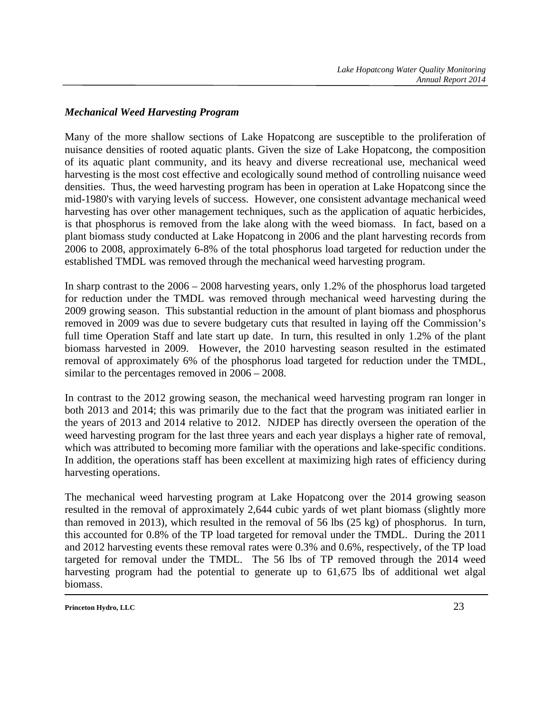#### *Mechanical Weed Harvesting Program*

Many of the more shallow sections of Lake Hopatcong are susceptible to the proliferation of nuisance densities of rooted aquatic plants. Given the size of Lake Hopatcong, the composition of its aquatic plant community, and its heavy and diverse recreational use, mechanical weed harvesting is the most cost effective and ecologically sound method of controlling nuisance weed densities. Thus, the weed harvesting program has been in operation at Lake Hopatcong since the mid-1980's with varying levels of success. However, one consistent advantage mechanical weed harvesting has over other management techniques, such as the application of aquatic herbicides, is that phosphorus is removed from the lake along with the weed biomass. In fact, based on a plant biomass study conducted at Lake Hopatcong in 2006 and the plant harvesting records from 2006 to 2008, approximately 6-8% of the total phosphorus load targeted for reduction under the established TMDL was removed through the mechanical weed harvesting program.

In sharp contrast to the 2006 – 2008 harvesting years, only 1.2% of the phosphorus load targeted for reduction under the TMDL was removed through mechanical weed harvesting during the 2009 growing season. This substantial reduction in the amount of plant biomass and phosphorus removed in 2009 was due to severe budgetary cuts that resulted in laying off the Commission's full time Operation Staff and late start up date. In turn, this resulted in only 1.2% of the plant biomass harvested in 2009. However, the 2010 harvesting season resulted in the estimated removal of approximately 6% of the phosphorus load targeted for reduction under the TMDL, similar to the percentages removed in 2006 – 2008.

In contrast to the 2012 growing season, the mechanical weed harvesting program ran longer in both 2013 and 2014; this was primarily due to the fact that the program was initiated earlier in the years of 2013 and 2014 relative to 2012. NJDEP has directly overseen the operation of the weed harvesting program for the last three years and each year displays a higher rate of removal, which was attributed to becoming more familiar with the operations and lake-specific conditions. In addition, the operations staff has been excellent at maximizing high rates of efficiency during harvesting operations.

The mechanical weed harvesting program at Lake Hopatcong over the 2014 growing season resulted in the removal of approximately 2,644 cubic yards of wet plant biomass (slightly more than removed in 2013), which resulted in the removal of 56 lbs (25 kg) of phosphorus. In turn, this accounted for 0.8% of the TP load targeted for removal under the TMDL. During the 2011 and 2012 harvesting events these removal rates were 0.3% and 0.6%, respectively, of the TP load targeted for removal under the TMDL. The 56 lbs of TP removed through the 2014 weed harvesting program had the potential to generate up to 61,675 lbs of additional wet algal biomass.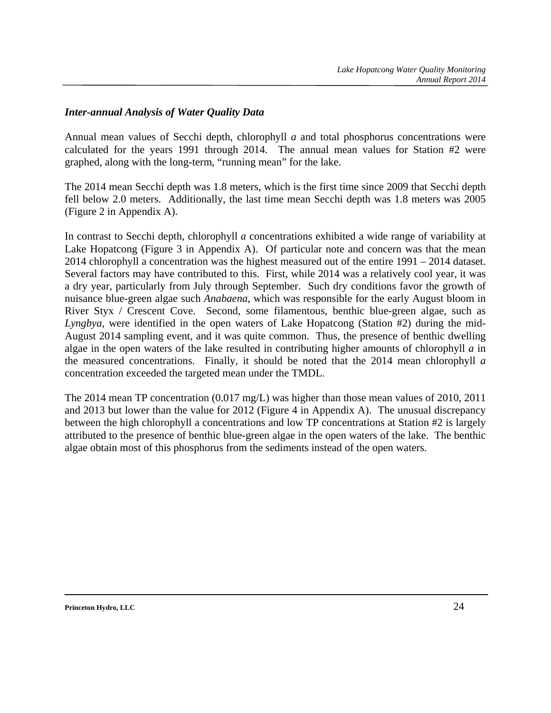#### *Inter-annual Analysis of Water Quality Data*

Annual mean values of Secchi depth, chlorophyll *a* and total phosphorus concentrations were calculated for the years 1991 through 2014. The annual mean values for Station #2 were graphed, along with the long-term, "running mean" for the lake.

The 2014 mean Secchi depth was 1.8 meters, which is the first time since 2009 that Secchi depth fell below 2.0 meters. Additionally, the last time mean Secchi depth was 1.8 meters was 2005 (Figure 2 in Appendix A).

In contrast to Secchi depth, chlorophyll *a* concentrations exhibited a wide range of variability at Lake Hopatcong (Figure 3 in Appendix A). Of particular note and concern was that the mean 2014 chlorophyll a concentration was the highest measured out of the entire 1991 – 2014 dataset. Several factors may have contributed to this. First, while 2014 was a relatively cool year, it was a dry year, particularly from July through September. Such dry conditions favor the growth of nuisance blue-green algae such *Anabaena*, which was responsible for the early August bloom in River Styx / Crescent Cove. Second, some filamentous, benthic blue-green algae, such as *Lyngbya*, were identified in the open waters of Lake Hopatcong (Station #2) during the mid-August 2014 sampling event, and it was quite common. Thus, the presence of benthic dwelling algae in the open waters of the lake resulted in contributing higher amounts of chlorophyll *a* in the measured concentrations. Finally, it should be noted that the 2014 mean chlorophyll *a* concentration exceeded the targeted mean under the TMDL.

The 2014 mean TP concentration (0.017 mg/L) was higher than those mean values of 2010, 2011 and 2013 but lower than the value for 2012 (Figure 4 in Appendix A). The unusual discrepancy between the high chlorophyll a concentrations and low TP concentrations at Station #2 is largely attributed to the presence of benthic blue-green algae in the open waters of the lake. The benthic algae obtain most of this phosphorus from the sediments instead of the open waters.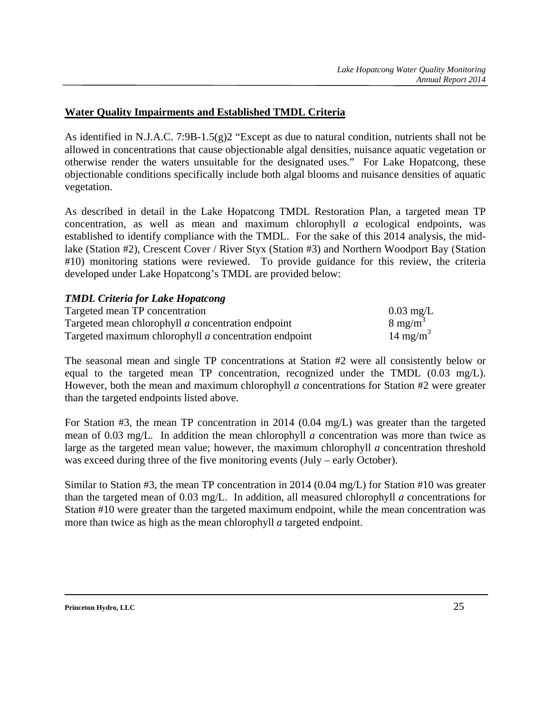#### **Water Quality Impairments and Established TMDL Criteria**

As identified in N.J.A.C. 7:9B-1.5(g)2 "Except as due to natural condition, nutrients shall not be allowed in concentrations that cause objectionable algal densities, nuisance aquatic vegetation or otherwise render the waters unsuitable for the designated uses." For Lake Hopatcong, these objectionable conditions specifically include both algal blooms and nuisance densities of aquatic vegetation.

As described in detail in the Lake Hopatcong TMDL Restoration Plan, a targeted mean TP concentration, as well as mean and maximum chlorophyll *a* ecological endpoints, was established to identify compliance with the TMDL. For the sake of this 2014 analysis, the midlake (Station #2), Crescent Cover / River Styx (Station #3) and Northern Woodport Bay (Station #10) monitoring stations were reviewed. To provide guidance for this review, the criteria developed under Lake Hopatcong's TMDL are provided below:

#### *TMDL Criteria for Lake Hopatcong*

| Targeted mean TP concentration                        | $0.03 \text{ mg/L}$  |
|-------------------------------------------------------|----------------------|
| Targeted mean chlorophyll a concentration endpoint    | $8 \text{ mg/m}^3$   |
| Targeted maximum chlorophyll a concentration endpoint | 14 mg/m <sup>3</sup> |

The seasonal mean and single TP concentrations at Station #2 were all consistently below or equal to the targeted mean TP concentration, recognized under the TMDL (0.03 mg/L). However, both the mean and maximum chlorophyll *a* concentrations for Station #2 were greater than the targeted endpoints listed above.

For Station #3, the mean TP concentration in 2014 (0.04 mg/L) was greater than the targeted mean of 0.03 mg/L. In addition the mean chlorophyll *a* concentration was more than twice as large as the targeted mean value; however, the maximum chlorophyll *a* concentration threshold was exceed during three of the five monitoring events (July – early October).

Similar to Station #3, the mean TP concentration in 2014 (0.04 mg/L) for Station #10 was greater than the targeted mean of 0.03 mg/L. In addition, all measured chlorophyll *a* concentrations for Station #10 were greater than the targeted maximum endpoint, while the mean concentration was more than twice as high as the mean chlorophyll *a* targeted endpoint.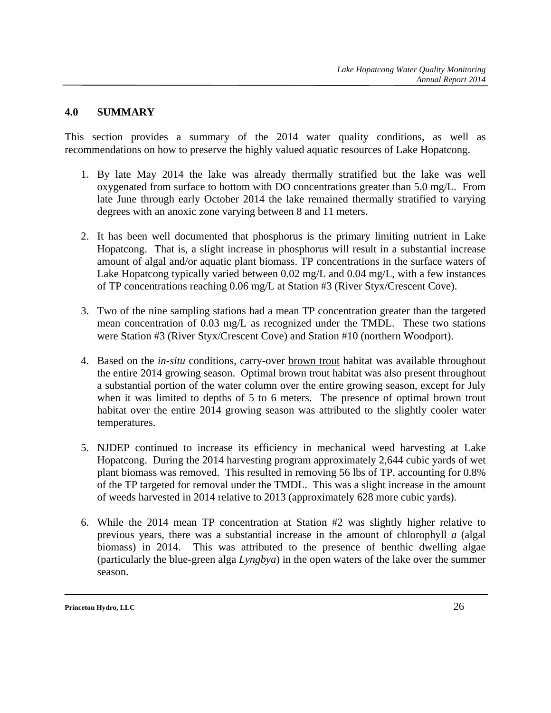#### **4.0 SUMMARY**

This section provides a summary of the 2014 water quality conditions, as well as recommendations on how to preserve the highly valued aquatic resources of Lake Hopatcong.

- 1. By late May 2014 the lake was already thermally stratified but the lake was well oxygenated from surface to bottom with DO concentrations greater than 5.0 mg/L. From late June through early October 2014 the lake remained thermally stratified to varying degrees with an anoxic zone varying between 8 and 11 meters.
- 2. It has been well documented that phosphorus is the primary limiting nutrient in Lake Hopatcong. That is, a slight increase in phosphorus will result in a substantial increase amount of algal and/or aquatic plant biomass. TP concentrations in the surface waters of Lake Hopatcong typically varied between 0.02 mg/L and 0.04 mg/L, with a few instances of TP concentrations reaching 0.06 mg/L at Station #3 (River Styx/Crescent Cove).
- 3. Two of the nine sampling stations had a mean TP concentration greater than the targeted mean concentration of 0.03 mg/L as recognized under the TMDL. These two stations were Station #3 (River Styx/Crescent Cove) and Station #10 (northern Woodport).
- 4. Based on the *in-situ* conditions, carry-over brown trout habitat was available throughout the entire 2014 growing season. Optimal brown trout habitat was also present throughout a substantial portion of the water column over the entire growing season, except for July when it was limited to depths of 5 to 6 meters. The presence of optimal brown trout habitat over the entire 2014 growing season was attributed to the slightly cooler water temperatures.
- 5. NJDEP continued to increase its efficiency in mechanical weed harvesting at Lake Hopatcong. During the 2014 harvesting program approximately 2,644 cubic yards of wet plant biomass was removed. This resulted in removing 56 lbs of TP, accounting for 0.8% of the TP targeted for removal under the TMDL. This was a slight increase in the amount of weeds harvested in 2014 relative to 2013 (approximately 628 more cubic yards).
- 6. While the 2014 mean TP concentration at Station #2 was slightly higher relative to previous years, there was a substantial increase in the amount of chlorophyll *a* (algal biomass) in 2014. This was attributed to the presence of benthic dwelling algae (particularly the blue-green alga *Lyngbya*) in the open waters of the lake over the summer season.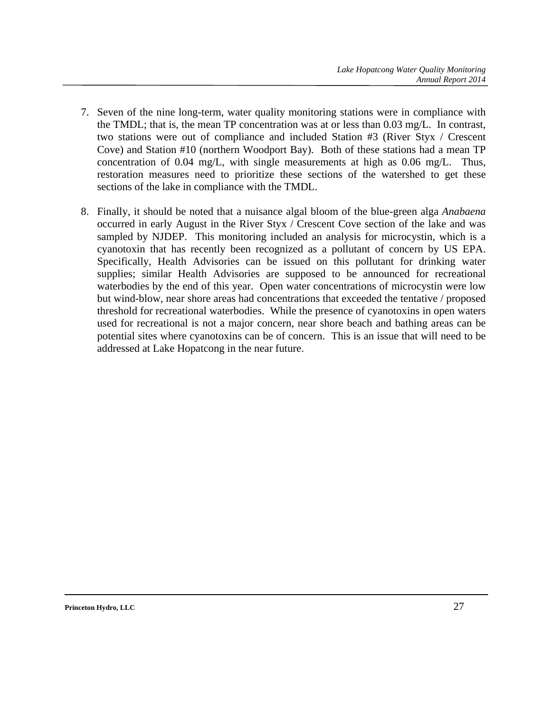- 7. Seven of the nine long-term, water quality monitoring stations were in compliance with the TMDL; that is, the mean TP concentration was at or less than 0.03 mg/L. In contrast, two stations were out of compliance and included Station #3 (River Styx / Crescent Cove) and Station #10 (northern Woodport Bay). Both of these stations had a mean TP concentration of 0.04 mg/L, with single measurements at high as 0.06 mg/L. Thus, restoration measures need to prioritize these sections of the watershed to get these sections of the lake in compliance with the TMDL.
- 8. Finally, it should be noted that a nuisance algal bloom of the blue-green alga *Anabaena*  occurred in early August in the River Styx / Crescent Cove section of the lake and was sampled by NJDEP. This monitoring included an analysis for microcystin, which is a cyanotoxin that has recently been recognized as a pollutant of concern by US EPA. Specifically, Health Advisories can be issued on this pollutant for drinking water supplies; similar Health Advisories are supposed to be announced for recreational waterbodies by the end of this year. Open water concentrations of microcystin were low but wind-blow, near shore areas had concentrations that exceeded the tentative / proposed threshold for recreational waterbodies. While the presence of cyanotoxins in open waters used for recreational is not a major concern, near shore beach and bathing areas can be potential sites where cyanotoxins can be of concern. This is an issue that will need to be addressed at Lake Hopatcong in the near future.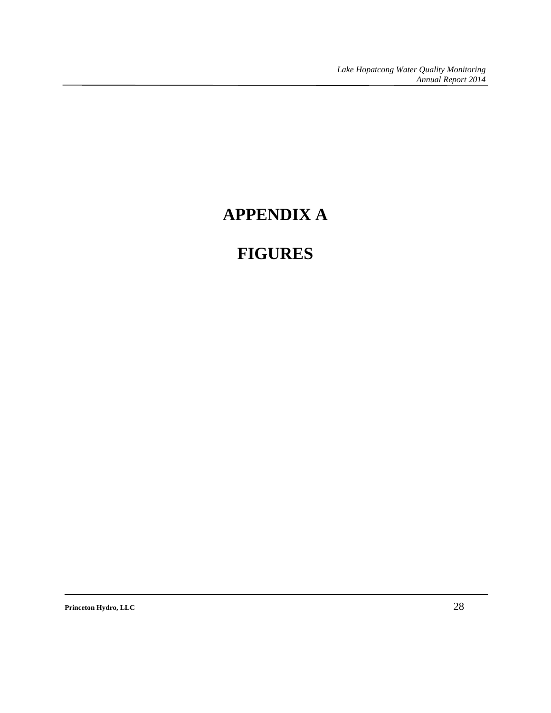# **APPENDIX A**

# **FIGURES**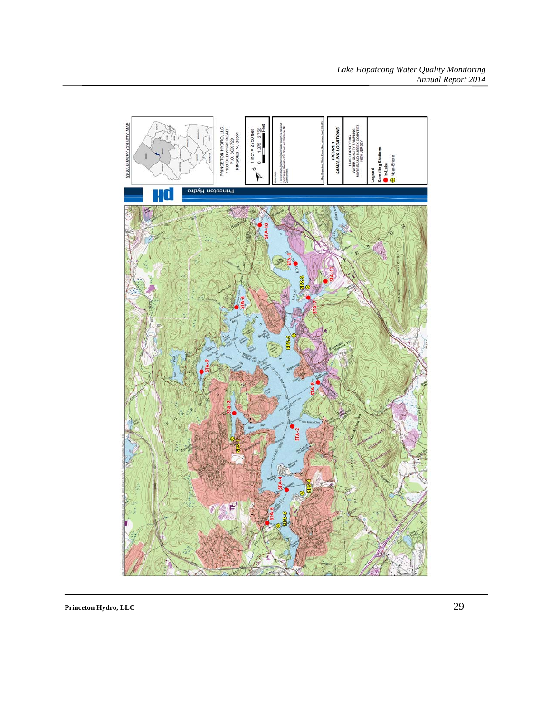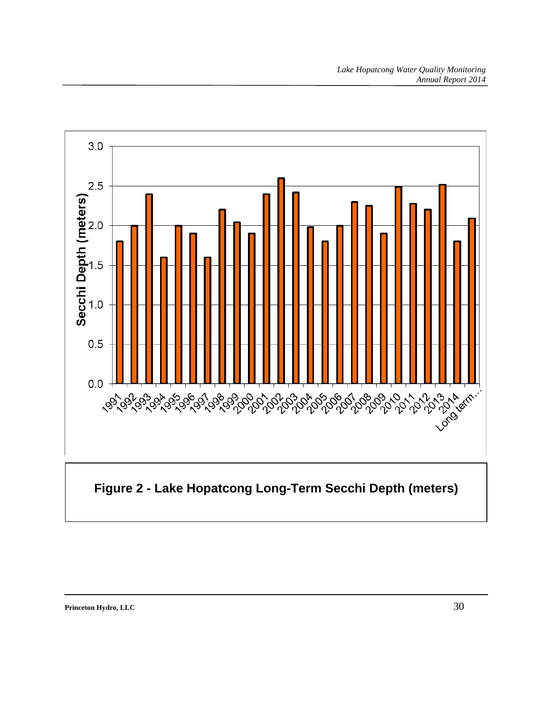

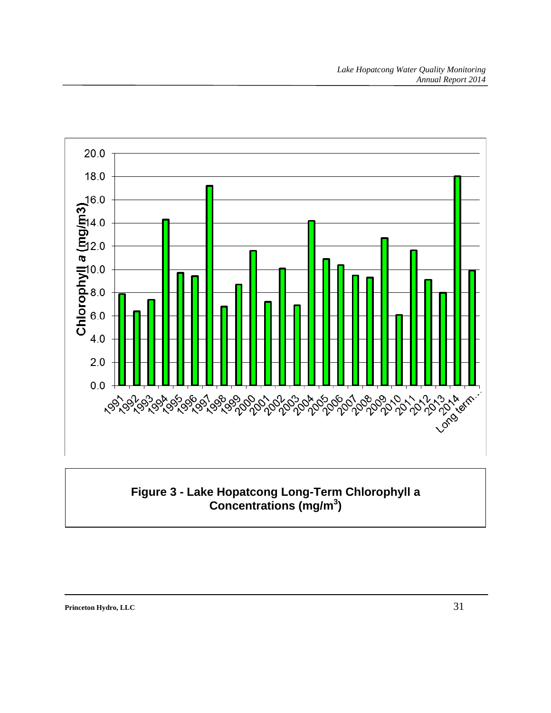

### **Figure 3 - Lake Hopatcong Long-Term Chlorophyll a Concentrations (mg/m<sup>3</sup> )**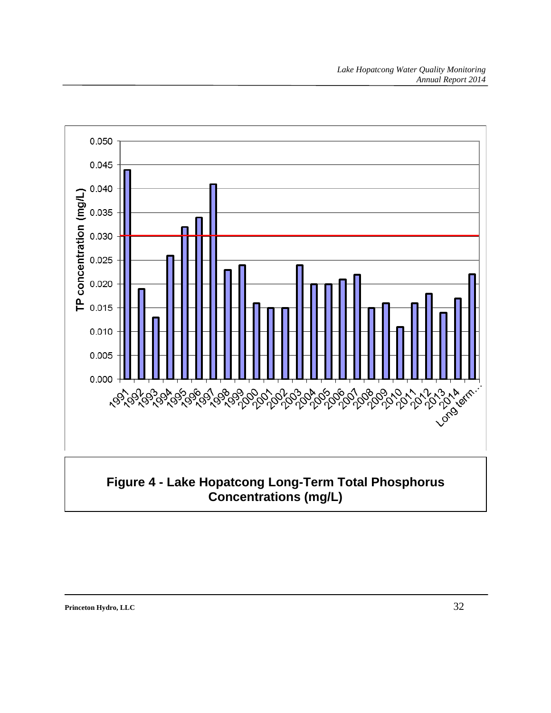

## **Figure 4 - Lake Hopatcong Long-Term Total Phosphorus Concentrations (mg/L)**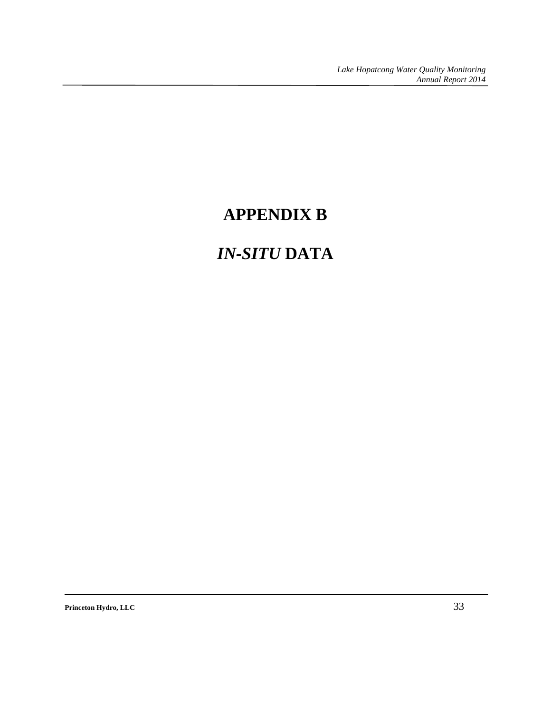# **APPENDIX B**

# *IN-SITU* **DATA**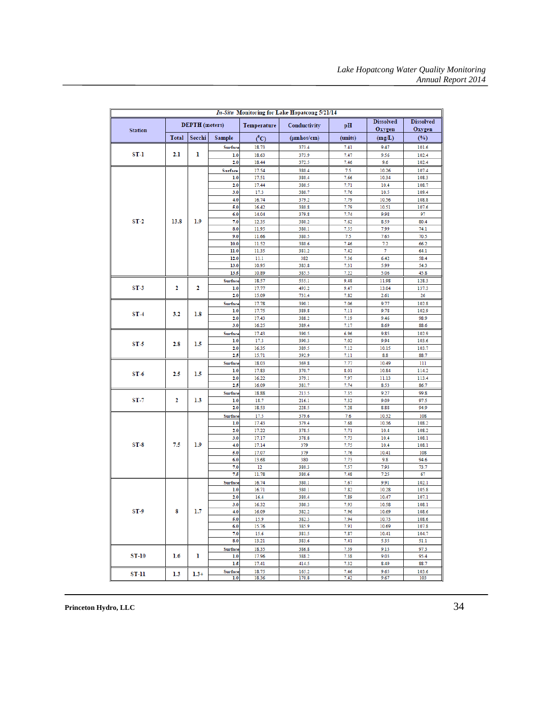|                |                  |                       |                |                | In-Situ Monitoring for Lake Hopatcong 5/21/14 |              |                            |                            |       |
|----------------|------------------|-----------------------|----------------|----------------|-----------------------------------------------|--------------|----------------------------|----------------------------|-------|
| <b>Station</b> |                  | <b>DEPTH</b> (meters) |                | Temperature    | Conductivity                                  | pH           | <b>Dissolved</b><br>Oxygen | <b>Dissolved</b><br>Oxygen |       |
|                | <b>Total</b>     | Secchi                | Sample         | $(^{0}C)$      | $(\mu m \text{hos/cm})$                       | (units)      | (mg/L)                     | (%)                        |       |
|                |                  |                       | Surface        | 18.73          | 373.4                                         | 7.41         | 9.47                       | 101.6                      |       |
| ST-1           | 2.1              | 1                     | 1.0            | 18.63          | 373.9                                         | 7.47         | 9.56                       | 102.4                      |       |
|                |                  |                       | 2.0            | 18.44          | 372.5                                         | 7.46         | 9.6                        | 102.4                      |       |
|                |                  |                       | Surface        | 17.54          | 380.4                                         | 7.5          | 10.26                      | 107.4                      |       |
|                |                  |                       | 1.0<br>2.0     | 17.51<br>17.44 | 380.4<br>380.5                                | 7.66<br>7.71 | 10.34<br>10.4              | 108.3<br>108.7             |       |
|                |                  |                       | 3.0            | 17.3           | 380.7                                         | 7.76         | 10.5                       | 109.4                      |       |
|                |                  |                       | 4.0            | 16.74          | 379.2                                         | 7.79         | 10.56                      | 108.8                      |       |
|                |                  |                       | 5.0            | 16.42          | 380.8                                         | 7.79         | 10.51                      | 107.6                      |       |
|                |                  |                       | 6.0            | 14.04          | 379.8                                         | 7.74         | 9.98                       | 97                         |       |
| $ST-2$         | 13.8             | 1.9                   | 7.0            | 12.35          | 380.2                                         | 7.62         | 8.59                       | 80.4                       |       |
|                |                  |                       | 8.0            | 11.95          | 380.1                                         | 7.55         | 7.99                       | 74.1                       |       |
|                |                  |                       | 9.0<br>10.0    | 11.66<br>11.52 | 380.5<br>380.6                                | 7.5<br>7.46  | 7.65<br>7.2                | 70.5<br>66.2               |       |
|                |                  |                       | 11.0           | 11.35          | 381.2                                         | 7.42         | 7                          | 64.1                       |       |
|                |                  |                       | 12.0           | 11.1           | 382                                           | 7.36         | 6.42                       | 58.4                       |       |
|                |                  |                       | 13.0           | 10.95          | 383.8                                         | 7.31         | 5.99                       | 54.3                       |       |
|                |                  |                       | 13.5           | 10.89          | 385.5                                         | 7.22         | 5.06                       | 45.8                       |       |
|                |                  |                       | Surface        | 18.57          | 555.1                                         | 9.48         | 11.98                      | 128.3                      |       |
| $ST-3$         | 2                | 2                     | 1.0            | 17.77          | 493.2                                         | 9.47         | 13.04                      | 137.3                      |       |
|                |                  |                       | 2.0            | 15.09          | 731.4                                         | 7.82         | 2.61                       | 26                         |       |
|                |                  |                       | Surface<br>1.0 | 17.78<br>17.75 | 390.1<br>389.8                                | 7.06<br>7.11 | 9.77<br>9.78               | 102.8<br>102.9             |       |
| $ST-4$         | 3.2              | 1.8                   | 2.0            | 17.43          | 388.2                                         | 7.19         | 9.46                       | 98.9                       |       |
|                |                  |                       | 3.0            | 16.25          | 389.4                                         | 7.17         | 8.69                       | 88.6                       |       |
|                |                  |                       | Surface        | 17.43          | 390.5                                         | 6.96         | 9.85                       | 102.9                      |       |
| $ST-5$         | 2.8<br>2.5       | 1.5                   | 1.0            | 17.3           | 390.3                                         | 7.02         | 9.94                       | 103.6                      |       |
|                |                  |                       | 2.0            | 16.35          | 389.5                                         | 7.12         | 10.15                      | 103.7                      |       |
|                |                  |                       | 2.5            | 15.71          | 392.9                                         | 7.11         | 8.8                        | 88.7                       |       |
|                |                  | 1.5                   | Surface<br>1.0 | 18.03<br>17.83 | 369.8<br>370.7                                | 7.77<br>8.01 | 10.49<br>10.84             | 111<br>114.2               |       |
| $ST-6$         |                  |                       |                | 2.0            | 16.22                                         | 379.1        | 7.97                       | 11.13                      | 113.4 |
|                |                  |                       | 2,5            | 16.09          | 381.7                                         | 7.74         | 8.53                       | 86.7                       |       |
|                |                  |                       | Surface        | 18.88          | 213.5                                         | 7.35         | 9.27                       | 99.8                       |       |
| ST 7           | 2                | 1.3                   | 1.0            | 18.7           | 216.1                                         | 7.32         | 9.09                       | 97.5                       |       |
|                |                  |                       | 2.0            | 18.53          | 228.5                                         | 7.28         | 8.88                       | 94.9                       |       |
|                |                  |                       | Surface        | 17.5           | 379.6                                         | 7.6          | 10.32                      | 108                        |       |
|                |                  |                       | 1.0<br>2.0     | 17.43<br>17.22 | 379.4<br>378.5                                | 7.68<br>7.71 | 10.36<br>10.4              | 108.2<br>108.2             |       |
|                |                  |                       | 3.0            | 17.17          | 378.8                                         | 7.73         | 10.4                       | 108.1                      |       |
| $ST-8$         | 7.5              | 1.9                   | 4.0            | 17.14          | 379                                           | 7.75         | 10.4                       | 108.1                      |       |
|                |                  |                       | 5.0            | 17.07          | 379                                           | 7.76         | 10.41                      | 108                        |       |
|                |                  |                       | 6.0            | 13.68          | 380                                           | 7.73         | 9.8                        | 94.6                       |       |
|                |                  |                       | 7.0            | 12             | 380.3                                         | 7.57         | 7.93                       | 73.7                       |       |
|                |                  |                       | 7.5            | 11.78          | 380.6                                         | 7.48         | 7.25                       | 67                         |       |
|                |                  |                       | Surface<br>1.0 | 16.74<br>16.71 | 380.1<br>380.1                                | 7.67<br>7.82 | 9.91<br>10.28              | 102.1<br>105.8             |       |
|                |                  |                       | 2.0            | 16.4           | 380.4                                         | 7.89         | 10.47                      | 107.1                      |       |
|                |                  |                       | 3.0            | 16.32          | 380.3                                         | 7.93         | 10.58                      | 108.1                      |       |
| ST-9           | 8                | 1.7                   | 4.0            | 16.09          | 382.2                                         | 7.96         | 10.69                      | 108.6                      |       |
|                |                  |                       | 5.0            | 15.9           | 382.3                                         | 7.94         | 10.73                      | 108.6                      |       |
|                |                  |                       | 6.0            | 15.76          | 385.9                                         | 7.91         | 10.69                      | 107.8                      |       |
|                |                  |                       | 7.0<br>8.0     | 15.6<br>13.21  | 381.5<br>383.6                                | 7.87<br>7.41 | 10.41<br>5.35              | 104.7<br>51.1              |       |
|                |                  |                       |                |                |                                               |              |                            | 97.3                       |       |
| <b>ST-10</b>   | $1.6\phantom{0}$ | 1                     | Surface<br>1.0 | 18.35<br>17.96 | 386.8<br>388.2                                | 7.39<br>7.38 | 9.13<br>9.03               | 95.4                       |       |
|                |                  |                       | 1.5            | 17.41          | 414.5                                         | 7.32         | 8.49                       | 88.7                       |       |
| ST-11          | 1.3              | $1.3+$                | Surface        | 18.75          | 165.2                                         | 7.46         | 9.65                       | 103.6                      |       |
|                |                  |                       | 1.0            | 18.36          | 170.8                                         | 7.42         | 9.67                       | 103                        |       |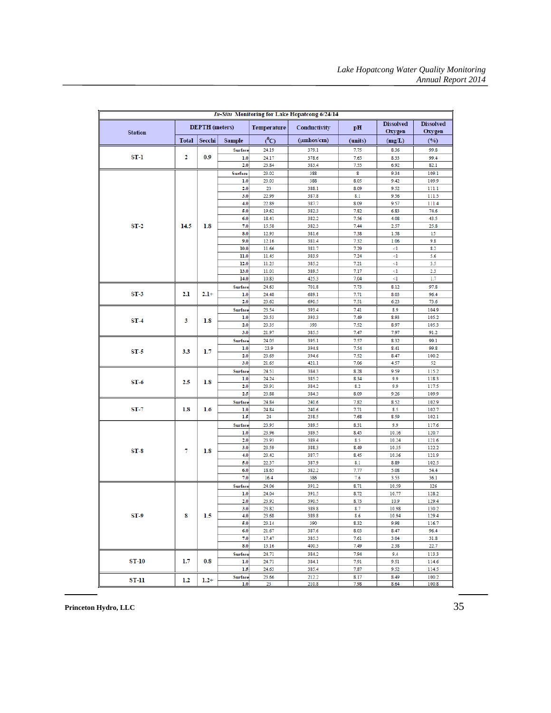| In-Situ Monitoring for Lake Hopatcong 6/24/14 |              |                       |               |                    |                         |              |                            |                            |  |
|-----------------------------------------------|--------------|-----------------------|---------------|--------------------|-------------------------|--------------|----------------------------|----------------------------|--|
| <b>Station</b>                                |              | <b>DEPTH</b> (meters) |               | <b>Temperature</b> | Conductivity            | pН           | <b>Dissolved</b><br>Oxygen | <b>Dissolved</b><br>Oxygen |  |
|                                               | <b>Total</b> | Secchi                | <b>Sample</b> | $(^0C)$            | $(\mu m \text{hos/cm})$ | (units)      | (mg/L)                     | (%)                        |  |
|                                               |              |                       | Surface       | 24.19              | 379.1                   | 7.75         | 8.36                       | 99.8                       |  |
| ST-1                                          | 2            | 0.9                   | 1.0           | 24.17              | 378.6                   | 7.65         | 8.33                       | 99.4                       |  |
|                                               |              |                       | 2.0           | 23.84              | 383.4                   | 7.55         | 6.92                       | 82.1                       |  |
|                                               |              |                       | Surface       | 23.02              | 388                     | 8            | 9.34                       | 109.1                      |  |
|                                               |              |                       | 1.0           | 23.03              | 388                     | 8.05         | 9.42                       | 109.9                      |  |
|                                               |              |                       | 2.0           | 23                 | 388.1                   | 8.09         | 9.52                       | 111.1                      |  |
|                                               |              |                       | 3.0           | 22.99              | 387.8                   | 8.1          | 9.56                       | 111.5                      |  |
|                                               |              |                       | 4.0           | 22.89              | 387.7                   | 8.09         | 9.57                       | 111.4                      |  |
|                                               |              |                       | 5.0           | 19.62              | 382.3                   | 7.82         | 6.83                       | 74.6                       |  |
|                                               |              |                       | 6.0           | 18.41              | 382.2                   | 7.56         | 4.08                       | 43.5                       |  |
| $ST-2$                                        | 14.5         | 1.8                   | 7.0           | 15.58              | 382.3                   | 7.44         | 2.57                       | 25.8                       |  |
|                                               |              |                       | 8.0<br>9.0    | 12.93<br>12.16     | 381.6<br>381.4          | 7.38<br>7.32 | 1.58<br>1.06               | 15<br>9.8                  |  |
|                                               |              |                       | 10.0          | 11.66              | 381.7                   | 7.29         | <1                         | 8.2                        |  |
|                                               |              |                       | 11.0          | 11.45              | 383.9                   | 7.24         | <1                         | 5.6                        |  |
|                                               |              |                       | 12.0          | 11.25              | 385.2                   | 7.21         | <1                         | 3.5                        |  |
|                                               |              |                       | 13.0          | 11.01              | 389.5                   | 7.17         | $\leq$                     | 2.3                        |  |
|                                               |              |                       | 14.0          | 10.83              | 425.3                   | 7.04         | $\leq$                     | 1.7                        |  |
|                                               |              |                       | Surface       | 24.63              | 701.8                   | 7.73         | 8.12                       | 97.8                       |  |
| $ST-3$                                        | 2.1          | $2.1+$                | 1.0           | 24.48              | 689.1                   | 7.71         | 8.03                       | 96.4                       |  |
|                                               |              |                       | 2.0           | 23.62              | 690.5                   | 7.51         | 6.23                       | 73.6                       |  |
|                                               | 3            |                       | Surface       | 23.54              | 393.4                   | 7.41         | 8.9                        | 104.9                      |  |
|                                               |              |                       | 1.0           | 23.53              | 393.3                   | 7.49         | 8.93                       | 105.2                      |  |
| $ST-4$                                        |              | 1.8                   | 2.0           | 23.35              | 393                     | 7.52         | 8.97                       | 105.3                      |  |
|                                               |              |                       | 3.0           | 21.97              | 385.5                   | 7.47         | 7.97                       | 91.2                       |  |
|                                               |              | 1.7                   | Surface       | 24.05              | 395.1                   | 7.57         | 8.32                       | 99.1                       |  |
| $ST-5$                                        | 3.3          |                       | 1.0           | 23.9               | 394.8                   | 7.54         | 8.41                       | 99.8                       |  |
|                                               |              |                       | 2.0           | 23.69              | 394.6                   | 7.52         | 8.47                       | 100.2                      |  |
|                                               |              |                       | 3.0           | 21.65              | 421.1                   | 7.06         | 4.57                       | 52                         |  |
|                                               |              |                       | Surface       | 24.51              | 384.3                   | 8.28         | 9.59                       | 115.2                      |  |
| $ST-6$                                        | 2.5          | 1.8                   | 1.0           | 24.24              | 385.2                   | 8.34         | 9.9                        | 118.3                      |  |
|                                               |              |                       | 2.0           | 23.91              | 384.2                   | 8.2          | 9.9                        | 117.5                      |  |
|                                               |              |                       | 2.5           | 23.88              | 384.3                   | 8.09         | 9.26                       | 109.9                      |  |
|                                               |              |                       | Surface       | 24.84              | 240.6                   | 7.82         | 8.52                       | 102.9                      |  |
| $ST-7$                                        | 1.8          | $1.6\phantom{0}$      | 1.0           | 24.84              | 240.6                   | 7.71         | 8.5                        | 102.7                      |  |
|                                               |              |                       | 1.5           | 24                 | 238.5                   | 7.68         | 8.59                       | 102.1                      |  |
|                                               |              |                       | Surface       | 23.95              | 389.5                   | 8.31         | 9.9                        | 117.6                      |  |
|                                               |              |                       | 1.0<br>2.0    | 23.96<br>23.93     | 389.5<br>389.4          | 8.45<br>8.5  | 10.16<br>10.24             | 120.7<br>121.6             |  |
|                                               |              |                       | 3.0           | 23.59              | 388.3                   | 8.49         | 10.35                      | 122.2                      |  |
| $ST-8$                                        | 7            | 1.8                   | 4.0           | 23.42              | 387.7                   | 8.45         | 10.36                      | 121.9                      |  |
|                                               |              |                       | 5.0           | 22.37              | 387.9                   | 8.1          | 8.89                       | 102.5                      |  |
|                                               |              |                       | 6.0           | 18.65              | 382.2                   | 7.77         | 5.08                       | 54.4                       |  |
|                                               |              |                       | 7.0           | 16.4               | 386                     | 7.6          | 3.53                       | 36.1                       |  |
|                                               |              |                       | Surface       | 24.06              | 391.2                   | 8.71         | 10.59                      | 126                        |  |
|                                               |              |                       | 1.0           | 24.04              | 391.5                   | 8.72         | 10.77                      | 128.2                      |  |
|                                               |              |                       | 2.0           | 23.92              | 390.5                   | 8.73         | 10.9                       | 129.4                      |  |
|                                               |              |                       | 3.0           | 23.82              | 389.8                   | 8.7          | 10.98                      | 130.2                      |  |
| ST-9                                          | 8            | 1.5                   | 4.0           | 23.68              | 389.8                   | 8.6          | 10.94                      | 129.4                      |  |
|                                               |              |                       | 5.0           | 23.14              | 390                     | 8.32         | 9.98                       | 116.7                      |  |
|                                               |              |                       | 6.0           | 21.67              | 387.6                   | 8.03         | 8.47                       | 96.4                       |  |
|                                               |              |                       | 7.0           | 17.47              | 385.3                   | 7.61         | 3.04                       | 31.8                       |  |
|                                               |              |                       | 8.0           | 13.16              | 400.3                   | 7.49         | 2.38                       | 22.7                       |  |
|                                               |              |                       | Surface       | 24.71              | 384.2                   | 7.94         | 9.4                        | 113.3                      |  |
| <b>ST-10</b>                                  | 1.7          | 0.8                   | 1.0           | 24.71              | 384.1                   | 7.91         | 9.51                       | 114.6                      |  |
|                                               |              |                       | 1.5           | 24.63              | 385.4                   | 7.87         | 9.52                       | 114.5                      |  |
| ST-11                                         | $1.2\,$      | $1.2 +$               | Surface       | 23.66              | 212.2                   | 8.17         | 8.49                       | 100.2                      |  |
|                                               |              |                       | 1.0           | 23                 | 210.8                   | 7.98         | 8.64                       | 100.8                      |  |

**Princeton Hydro, LLC** 35

 $\overline{a}$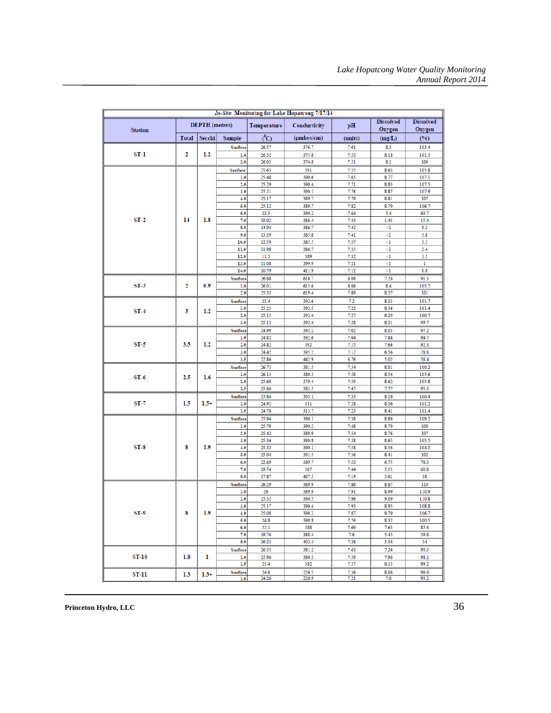| <b>In-Situ Monitoring for Lake Hopatcong 7/17/14</b> |              |                       |                |                |                |              |                            |                            |      |       |
|------------------------------------------------------|--------------|-----------------------|----------------|----------------|----------------|--------------|----------------------------|----------------------------|------|-------|
| <b>Station</b>                                       |              | <b>DEPTH</b> (meters) |                | Temperature    | Conductivity   | pН           | <b>Dissolved</b><br>Oxygen | <b>Dissolved</b><br>Oxygen |      |       |
|                                                      | <b>Total</b> | Secchi                | Sample         | $^o$ C)        | (µmhos/cm)     | (units)      | (mg/L)                     | (%)                        |      |       |
|                                                      |              |                       | Surface        | 26.57          | 376.7          | 7.61         | 8.3                        | 103.4                      |      |       |
| $ST-1$                                               | 2            | 1.2                   | 1.0            | 26.32          | 375.8          | 7.53         | 8.18                       | 101.5                      |      |       |
|                                                      |              |                       | 2.0            | 26.03          | 374.8          | 7.51         | 8.1                        | 100                        |      |       |
|                                                      |              |                       | Surface        | 25.65          | 391            | 7.55         | 8.63                       | 105.8                      |      |       |
|                                                      |              |                       | 1.0            | 25.48          | 390.6          | 7.65         | 8.77                       | 107.1                      |      |       |
|                                                      |              |                       | 2.0            | 25.29          | 390.4          | 7.71         | 8.83                       | 107.5                      |      |       |
|                                                      |              |                       | 3.0            | 25.21          | 390.1          | 7.76         | 8.87                       | 107.9                      |      |       |
|                                                      |              |                       | 4.0<br>5.0     | 25.17<br>25.12 | 389.7          | 7.79         | 8.81<br>8.79               | 107                        |      |       |
|                                                      |              |                       | 6.0            | 23.5           | 389.7<br>390.2 | 7.82<br>7.64 | 5.4                        | 106.7<br>63.7              |      |       |
| $ST-2$                                               | 14           | 1.8                   | 7.0            | 19.02          | 386.4          | 7.43         | 1.43                       | 15.4                       |      |       |
|                                                      |              |                       | 8.0            | 14.94          | 386.7          | 7.42         | <1                         | 9.2                        |      |       |
|                                                      |              |                       | 9.0            | 13.39          | 385.8          | 7.41         | <1                         | 5.8                        |      |       |
|                                                      |              |                       | 10.0           | 12.59          | 385.5          | 7.37         | <1                         | 3.5                        |      |       |
|                                                      |              |                       | 11.0           | 11.98          | 386.7          | 7.35         | <1                         | 2.4                        |      |       |
|                                                      |              |                       | 12.0           | 11.5           | 389            | 7.32         | <1                         | 1.5                        |      |       |
|                                                      |              |                       | 13.0           | 11.08          | 399.9          | 7.21         | <1                         | 1                          |      |       |
|                                                      |              |                       | 14.0           | 10.79          | 411.9          | 7.12         | <1                         | 0.8                        |      |       |
|                                                      |              | 0.9                   | Surface        | 26.88          | 618.7          | 8.08         | 7.28                       | 91.3                       |      |       |
| $ST-3$                                               | 2            |                       | 1.0<br>2.0     | 26.01<br>25.35 | 615.6<br>619.4 | 8.06<br>7.89 | 8.4<br>8.27                | 103.7<br>101               |      |       |
|                                                      |              |                       | Surface        | 25.4           | 392.6          | 7.2          | 8.33                       | 101.7                      |      |       |
|                                                      |              |                       | 1.0            | 25.23          | 392.5          | 7.22         | 8.34                       | 101.4                      |      |       |
| $ST-4$                                               | 3            | 1.2                   | 2.0            | 25.15          | 392.4          | 7.27         | 8.29                       | 100.7                      |      |       |
|                                                      |              |                       | 3.0            | 25.12          | 392.4          | 7.28         | 8.21                       | 99.7                       |      |       |
|                                                      | 3.5          |                       | Surface        | 24.99          | 392.2          | 7.02         | 8.03                       | 97.2                       |      |       |
|                                                      |              | 1.2                   | 1.0            | 24.82          | 392.6          | 7.04         | 7.84                       | 94.7                       |      |       |
| $ST-5$                                               |              |                       | 2.0            | 24.82          | 392            | 7.15         | 7.64                       | 92.3                       |      |       |
|                                                      |              |                       | 3.0            | 24.42          | 395.2          | 7.12         | 6.56                       | 78.6                       |      |       |
|                                                      |              |                       | 3.5            | 22.86          | 442.9          | 6.76         | 5.02                       | 58.4                       |      |       |
|                                                      |              |                       |                |                | Surface        | 26.73        | 381.5                      | 7.54                       | 8.01 | 100.2 |
| $ST-6$                                               | 2.5          | 1.6                   | 1.0            | 26.13          | 380.3          | 7.58         | 8.54                       | 105.6                      |      |       |
|                                                      |              |                       | 2.0<br>2.5     | 25.68<br>25.66 | 379.4<br>383.5 | 7.59<br>7.47 | 8.62<br>7.77               | 105.8<br>95.3              |      |       |
|                                                      |              |                       | Surface        | 25.84          | 303.1          | 7.33         | 8.16                       | 100.4                      |      |       |
| ST-7                                                 | 1.5          | $1.5+$                | 1.0            | 24.92          | 311            | 7.28         | 8.36                       | 101.2                      |      |       |
|                                                      |              |                       | 1.5            | 24.78          | 313.7          | 7.23         | 8.41                       | 101.4                      |      |       |
|                                                      |              |                       | Surface        | 25.94          | 390.1          | 7.38         | 8.86                       | 109.2                      |      |       |
|                                                      |              |                       | 1.0            | 25.79          | 390.2          | 7.48         | 8.79                       | 108                        |      |       |
|                                                      |              |                       | 2.0            | 25.42          | 389.9          | 7.54         | 8.76                       | 107                        |      |       |
|                                                      |              |                       | 3.0            | 25.36          | 389.8          | 7.58         | 8.65                       | 105.5                      |      |       |
| $ST-8$                                               | 8            | 1.9                   | 4.0            | 25.32          | 390.1          | 7.58         | 8.56                       | 104.3                      |      |       |
|                                                      |              |                       | 5.0            | 25.04          | 391.5          | 7.56         | 8.41                       | 102                        |      |       |
|                                                      |              |                       | 6.0            | 22.69          | 389.7          | 7.52         | 6.75                       | 78.3                       |      |       |
|                                                      |              |                       | 7.0<br>8.0     | 19.74<br>17.87 | 387<br>407.3   | 7.44<br>7.19 | 5.55<br>3.61               | 60.8<br>38                 |      |       |
|                                                      |              |                       |                | 26.29          | 389.9          | 7.86         |                            | 110                        |      |       |
|                                                      |              |                       | Surface<br>1.0 | 26             | 389.9          | 7.91         | 8.87<br>8.99               | 110.9                      |      |       |
|                                                      |              |                       | 2.0            | 25.32          | 390.5          | 7.96         | 9.09                       | 110.8                      |      |       |
|                                                      |              |                       | 3.0            | 25.17          | 390.4          | 7.93         | 8.95                       | 108.8                      |      |       |
| $ST-9$                                               | 8            | 1.9                   | 4.0            | 25.08          | 390.2          | 7.87         | 8.79                       | 106.7                      |      |       |
|                                                      |              |                       | 5.0            | 24.8           | 390.8          | 7.76         | 8.32                       | 100.5                      |      |       |
|                                                      |              |                       | 6.0            | 22.1           | 388            | 7.69         | 7.63                       | 87.6                       |      |       |
|                                                      |              |                       | 7.0            | 19.76          | 388.4          | 7.6          | 5.45                       | 59.8                       |      |       |
|                                                      |              |                       | 8.0            | 16.23          | 402.4          | 7.26         | 3.34                       | 34                         |      |       |
|                                                      |              |                       | Surface        | 26.55          | 381.2          | 7.63         | 7.24                       | 90.3                       |      |       |
| <b>ST-10</b>                                         | $1.8\,$      | ı                     | 1.0            | 25.96          | 380.3          | 7.59         | 7.96                       | 98.2                       |      |       |
|                                                      |              |                       | 1.5            | 25.4           | 382            | 7.57         | 8.13                       | 99.2                       |      |       |
| <b>ST-11</b>                                         | 1.3          | $1.3+$                | Surface<br>1.0 | 24.6<br>24.26  | 226.5<br>226.9 | 7.36<br>7.21 | 8.06<br>7.8                | 96.9<br>93.2               |      |       |
|                                                      |              |                       |                |                |                |              |                            |                            |      |       |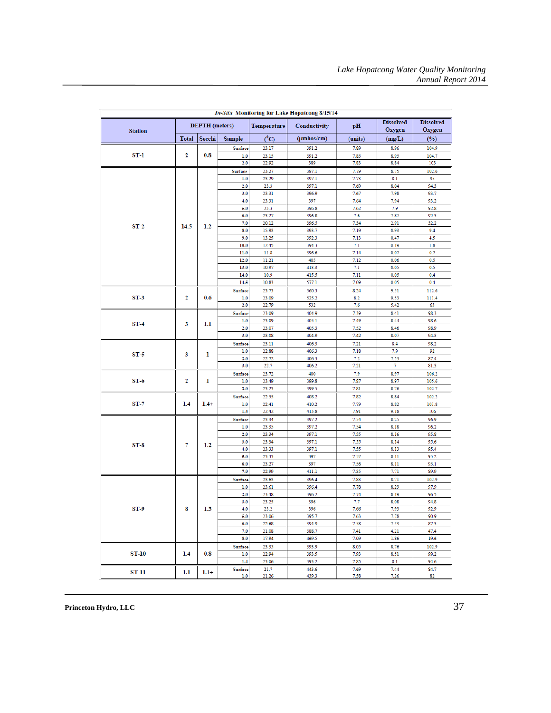| In-Situ Monitoring for Lake Hopatcong 8/15/14 |              |                       |                |                    |                         |              |                            |                            |  |
|-----------------------------------------------|--------------|-----------------------|----------------|--------------------|-------------------------|--------------|----------------------------|----------------------------|--|
| <b>Station</b>                                |              | <b>DEPTH</b> (meters) |                | <b>Temperature</b> | Conductivity            | pH           | <b>Dissolved</b><br>Oxygen | <b>Dissolved</b><br>Oxygen |  |
|                                               | <b>Total</b> | Secchi                | <b>Sample</b>  | $(^0C)$            | $(\mu m \text{hos/cm})$ | (units)      | (mg/L)                     | $($ %)                     |  |
|                                               |              |                       | Surface        | 23.17              | 391.2                   | 7.89         | 8.96                       | 104.9                      |  |
| ST-1                                          | 2            | 0.8                   | 1.0            | 23.15              | 391.2                   | 7.85         | 8.95                       | 104.7                      |  |
|                                               |              |                       | 2.0            | 22.92              | 389                     | 7.83         | 8.84                       | 103                        |  |
|                                               |              |                       | Surface        | 23.27              | 397.1                   | 7.79         | 8.75                       | 102.6                      |  |
|                                               |              |                       | 1.0            | 23.29              | 397.1                   | 7.73         | 8.1                        | 95                         |  |
|                                               |              |                       | 2.0            | 23.3               | 397.1                   | 7.69         | 8.04                       | 94.3                       |  |
|                                               |              |                       | 3.0            | 23.31              | 396.9                   | 7.67         | 7.98                       | 93.7                       |  |
|                                               |              |                       | 4.0            | 23.31              | 397                     | 7.64         | 7.94                       | 93.2                       |  |
|                                               |              |                       | 5.0            | 23.3               | 396.8                   | 7.62         | 7.9                        | 92.8                       |  |
|                                               |              |                       | 6.0            | 23.27              | 396.8                   | 7.6          | 7.87                       | 92.3                       |  |
| $ST-2$                                        | 14.5         | 1.2                   | 7.0            | 20.12              | 396.5                   | 7.34         | 2.91                       | 32.2                       |  |
|                                               |              |                       | 8.0            | 15.93              | 393.7                   | 7.19         | 0.93                       | 9.4                        |  |
|                                               |              |                       | 9.0            | 13.25              | 392.3                   | 7.13         | 0.47                       | 4.5                        |  |
|                                               |              |                       | 10.0           | 12.45              | 394.3                   | 7.1          | 0.19                       | 1.8                        |  |
|                                               |              |                       | 11.0           | 11.8               | 396.6                   | 7.14         | 0.07                       | 0.7                        |  |
|                                               |              |                       | 12.0           | 11.21              | 405                     | 7.12         | 0.06                       | 0.5                        |  |
|                                               |              |                       | 13.0           | 10.97              | 413.3                   | 7.1          | 0.05                       | 0.5                        |  |
|                                               |              |                       | 14.0<br>14.5   | 10.9<br>10.83      | 415.5<br>577.1          | 7.11<br>7.09 | 0.05<br>0.05               | 0.4<br>0.4                 |  |
|                                               |              |                       |                |                    |                         |              |                            |                            |  |
| $ST-3$                                        | 2            |                       | Surface        | 23.73              | 560.3                   | 8.24<br>8.2  | 9.51                       | 112.6                      |  |
|                                               |              | 0.6                   | 1.0<br>2.0     | 23.09<br>22.79     | 525.2<br>532            | 7.6          | 9.53<br>5.42               | 111.4<br>63                |  |
|                                               |              |                       |                |                    |                         |              |                            |                            |  |
|                                               | 3            | 1.1                   | Surface<br>1.0 | 23.09<br>23.09     | 404.9<br>405.1          | 7.39<br>7.49 | 8.41<br>8.44               | 98.3<br>98.6               |  |
| $ST-4$                                        |              |                       | 2.0            | 23.07              | 405.3                   | 7.52         | 8.46                       | 98.9                       |  |
|                                               |              |                       | 3.0            | 23.08              | 404.9                   | 7.42         | 8.07                       | 94.3                       |  |
|                                               |              |                       | Surface        | 23.11              | 406.3                   | 7.21         | 8.4                        | 98.2                       |  |
|                                               | 3            | 1                     | 1.0            | 22.88              | 406.3                   | 7.18         | 7.9                        | 92                         |  |
| ST-5                                          |              |                       | 2.0            | 22.72              | 406.3                   | 7.2          | 7.53                       | 87.4                       |  |
|                                               |              |                       | 3.0            | 22.7               | 406.2                   | 7.21         | 7                          | 81.3                       |  |
|                                               |              | 1<br>$1.4+$           | Surface        | 23.72              | 400                     | 7.9          | 8.97                       | 106.2                      |  |
| $ST-6$                                        | 2            |                       | 1.0            | 23.49              | 399.8                   | 7.87         | 8.97                       | 105.6                      |  |
|                                               |              |                       | 2.0            | 23.23              | 399.5                   | 7.81         | 8.76                       | 102.7                      |  |
|                                               |              |                       | Surface        | 22.55              | 408.2                   | 7.82         | 8.84                       | 102.2                      |  |
| ST-7                                          | 1.4          |                       | 1.0            | 22.41              | 410.2                   | 7.79         | 8.82                       | 101.8                      |  |
|                                               |              |                       | 1.4            | 22.42              | 413.8                   | 7.91         | 9.18                       | 106                        |  |
|                                               |              |                       | Surface        | 23.34              | 397.2                   | 7.54         | 8.25                       | 96.9                       |  |
|                                               |              |                       | 1.0            | 23.35              | 397.2                   | 7.54         | 8.18                       | 96.2                       |  |
|                                               |              | 1.2                   | 2.0            | 23.34              | 397.1                   | 7.55         | 8.16                       | 95.8                       |  |
| $ST-8$                                        | 7            |                       | 3.0            | 23.34              | 397.1                   | 7.55         | 8.14                       | 95.6                       |  |
|                                               |              |                       | 4.0            | 23.33              | 397.1                   | 7.55         | 8.13                       | 95.4                       |  |
|                                               |              |                       | 5.0            | 23.33              | 397                     | 7.57         | 8.11                       | 95.2                       |  |
|                                               |              |                       | 6.0            | 23.27              | 397                     | 7.56         | 8.11                       | 95.1                       |  |
|                                               |              |                       | 7.0            | 22.99              | 411.1                   | 7.35         | 7.71                       | 89.9                       |  |
|                                               |              |                       | Surface        | 23.63              | 396.4                   | 7.83         | 8.71                       | 102.9                      |  |
|                                               |              |                       | 1.0            | 23.61              | 396.4                   | 7.78         | 8.29                       | 97.9                       |  |
|                                               |              |                       | 2.0            | 23.48              | 396.2                   | 7.74         | 8.19                       | 96.5                       |  |
| $ST-9$                                        | 8            | 1.3                   | 3.0<br>4.0     | 23.25<br>23.2      | 396<br>396              | 7.7<br>7.66  | 8.08<br>7.93               | 94.8<br>92.9               |  |
|                                               |              |                       | 5.0            | 23.06              | 395.7                   | 7.63         | 7.78                       | 90.9                       |  |
|                                               |              |                       | 6.0            | 22.68              | 394.9                   | 7.58         | 7.53                       | 87.3                       |  |
|                                               |              |                       | 7.0            | 21.08              | 388.7                   | 7.41         | 4.21                       | 47.4                       |  |
|                                               |              |                       | 8.0            | 17.94              | 469.5                   | 7.09         | 1.86                       | 19.6                       |  |
|                                               |              |                       | Surface        | 23.35              | 393.9                   | 8.05         | 8.76                       | 102.9                      |  |
| <b>ST-10</b>                                  | $1.4\,$      | 0.8                   | 1.0            | 22.94              | 393.5                   | 7.93         | 8.51                       | 99.2                       |  |
|                                               |              |                       | 1.4            | 23.06              | 393.2                   | 7.85         | 8.1                        | 94.6                       |  |
|                                               |              |                       | Surface        | 21.7               | 443.6                   | 7.69         | 7.44                       | 84.7                       |  |
| ST-11                                         | 1.1          | $1.1+$                | 1.0            | 21.26              | 439.3                   | 7.58         | 7.26                       | 82                         |  |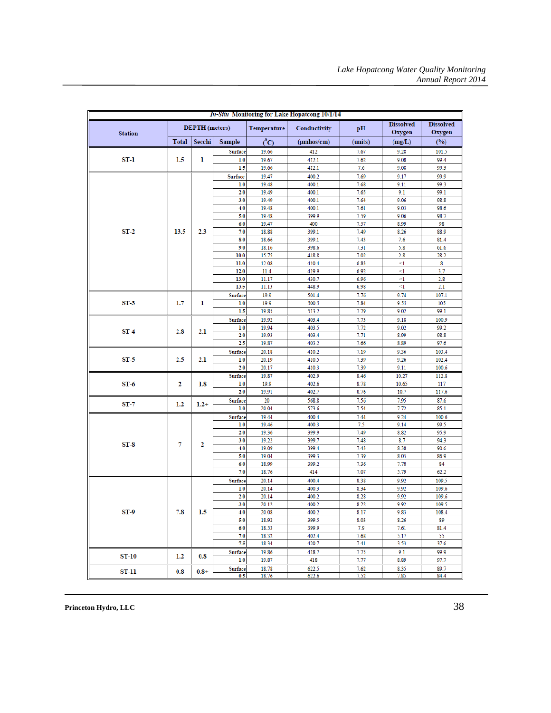| <b>In-Situ Monitoring for Lake Hopatcong 10/1/14</b> |                       |         |                       |                    |                         |              |                            |                            |  |
|------------------------------------------------------|-----------------------|---------|-----------------------|--------------------|-------------------------|--------------|----------------------------|----------------------------|--|
| <b>Station</b>                                       | <b>DEPTH</b> (meters) |         |                       | <b>Temperature</b> | Conductivity            | pH           | <b>Dissolved</b><br>Oxygen | <b>Dissolved</b><br>Oxygen |  |
|                                                      | <b>Total</b>          | Secchi  | <b>Sample</b>         | $(^{0}C)$          | $(\mu m \text{hos/cm})$ | (units)      | (mg/L)                     | (9/0)                      |  |
|                                                      |                       |         | Surface               | 19.66              | 412                     | 7.67         | 9.28                       | 101.5                      |  |
| ST-1                                                 | 1.5                   | 1       | 1.0                   | 19.67              | 412.1                   | 7.62         | 9.08                       | 99.4                       |  |
|                                                      |                       |         | 1.5                   | 19.66              | 412.1                   | 7.6          | 9.08                       | 99.3                       |  |
|                                                      |                       |         | Surface               | 19.47              | 400.2                   | 7.69         | 9.17                       | 99.9                       |  |
|                                                      |                       |         | 1.0                   | 19.48              | 400.1                   | 7.68         | 9.11                       | 99.3                       |  |
|                                                      |                       |         | 2.0                   | 19.49              | 400.1                   | 7.65         | 9.1                        | 99.1                       |  |
|                                                      |                       |         | 3.0                   | 19.49              | 400.1                   | 7.64         | 9.06                       | 98.8                       |  |
|                                                      |                       |         | 4.0                   | 19.48              | 400.1                   | 7.61         | 9.05                       | 98.6                       |  |
|                                                      |                       |         | 5.0                   | 19.48              | 399.9                   | 7.59         | 9.06                       | 98.7                       |  |
|                                                      |                       |         | 6.0                   | 19.47              | 400                     | 7.57         | 8.99                       | 98                         |  |
| $ST-2$                                               | 13.5                  | 2.3     | 7.0                   | 18.88              | 399.1                   | 7.49         | 8.26                       | 88.9                       |  |
|                                                      |                       |         | 8.0                   | 18.66              | 399.1                   | 7.43         | 7.6                        | 81.4                       |  |
|                                                      |                       |         | 9.0                   | 18.16              | 398.6                   | 7.31         | 5.8                        | 61.6                       |  |
|                                                      |                       |         | 10.0                  | 15.75              | 418.8                   | 7.02         | 2.8                        | 28.2                       |  |
|                                                      |                       |         | 11.0                  | 12.08              | 410.4                   | 6.83         | $\leq$ 1                   | 8                          |  |
|                                                      |                       |         | 12.0                  | 11.4               | 419.9                   | 6.92         | $\leq$ 1                   | 3.7                        |  |
|                                                      |                       |         | 13.0                  | 11.17              | 430.7                   | 6.96         | $\leq$                     | 2.8                        |  |
|                                                      |                       |         | 13.5                  | 11.13              | 448.9                   | 6.98         | $\leq$ 1                   | 2.1                        |  |
|                                                      | 1.7                   |         | <b>Surface</b>        | 19.9               | 501.4                   | 7.76         | 9.74                       | 107.1                      |  |
| $ST-3$                                               |                       | ı       | 1.0<br>1.5            | 19.9<br>19.85      | 500.5<br>513.2          | 7.84<br>7.79 | 9.55<br>9.02               | 105<br>99.1                |  |
|                                                      | 2.8                   |         |                       |                    |                         |              |                            |                            |  |
|                                                      |                       | 2.1     | <b>Surface</b>        | 19.92              | 403.4                   | 7.73         | 9.18                       | 100.9                      |  |
| $ST-4$                                               |                       |         | 1.0<br>2.0            | 19.94<br>19.93     | 403.5<br>403.4          | 7.72<br>7.71 | 9.02<br>8.99               | 99.2<br>98.8               |  |
|                                                      |                       |         | 2.5                   | 19.87              | 403.2                   | 7.66         | 8.89                       | 97.6                       |  |
|                                                      |                       |         | Surface               | 20.18              | 410.2                   | 7.19         | 9.36                       | 103.4                      |  |
| $ST-5$                                               | 2.5                   | 2.1     | 1.0                   | 20.19              | 410.5                   | 7.39         | 9.26                       | 102.4                      |  |
|                                                      |                       |         | 2.0                   | 20.17              | 410.3                   | 7.39         | 9.11                       | 100.6                      |  |
|                                                      |                       |         | Surface               | 19.87              | 402.9                   | 8.46         | 10.27                      | 112.8                      |  |
| $ST-6$                                               | 2                     | 1.8     | 1.0                   | 19.9               | 402.6                   | 8.78         | 10.65                      | 117                        |  |
|                                                      |                       |         | 2.0                   | 19.91              | 402.7                   | 8.76         | 10.7                       | 117.6                      |  |
|                                                      |                       |         | <b>Surface</b>        | 20                 | 568.8                   | 7.56         | 7.95                       | 87.6                       |  |
| $ST-7$                                               | 1.2                   | $1.2+$  | 1.0                   | 20.04              | 573.6                   | 7.54         | 7.72                       | 85.1                       |  |
|                                                      |                       |         | Surface               | 19.44              | 400.4                   | 7.44         | 9.24                       | 100.6                      |  |
|                                                      |                       |         | 1.0                   | 19.46              | 400.3                   | 7.5          | 9.14                       | 99.5                       |  |
|                                                      |                       |         | 2.0                   | 19.36              | 399.9                   | 7.49         | 8.82                       | 95.9                       |  |
|                                                      |                       |         | 3.0                   | 19.22              | 399.7                   | 7.48         | 8.7                        | 94.3                       |  |
| $ST-8$                                               | 7                     | 2       | 4.0                   | 19.09              | 399.4                   | 7.43         | 8.38                       | 90.6                       |  |
|                                                      |                       |         | 5.0                   | 19.04              | 399.3                   | 7.39         | 8.05                       | 86.9                       |  |
|                                                      |                       |         | 6.0                   | 18.99              | 399.2                   | 7.36         | 7.78                       | 84                         |  |
|                                                      |                       |         | 7.0                   | 18.76              | 414                     | 7.07         | 5.79                       | 62.2                       |  |
|                                                      |                       |         | Surface               | 20.14              | 400.4                   | 8.38         | 9.92                       | 109.5                      |  |
|                                                      |                       |         | 1.0                   | 20.14              | 400.3                   | 8.34         | 9.92                       | 109.6                      |  |
|                                                      |                       |         | 2.0                   | 20.14              | 400.2                   | 8.28         | 9.92                       | 109.6                      |  |
|                                                      |                       |         | 3.0                   | 20.12              | 400.2                   | 8.22         | 9.92                       | 109.5                      |  |
| $ST-9$                                               | 7.8                   | 1.5     | 4.0                   | 20.08              | 400.2                   | 8.17         | 9.83                       | 108.4                      |  |
|                                                      |                       |         | 5.0                   | 18.92              | 399.5                   | 8.03         | 8.26                       | 89                         |  |
|                                                      |                       |         | 6.0                   | 18.53              | 399.9                   | 7.9          | 7.61                       | 81.4                       |  |
|                                                      |                       |         | 7.0                   | 18.32              | 402.4                   | 7.68         | 5.17                       | 55                         |  |
|                                                      |                       |         | 7.5                   | 18.34              | 420.7                   | 7.41         | 3.53                       | 37.6                       |  |
| $ST-10$                                              | 1.2                   | 0.8     | Surface               | 19.86              | 418.7                   | 7.75         | 9.1                        | 99.9                       |  |
|                                                      |                       |         | 1.0                   | 19.87              | 418                     | 7.77         | 8.89                       | 97.7                       |  |
| ST-11                                                | 0.8                   | $0.8 +$ | <b>Surface</b><br>0.5 | 18.78              | 622.5                   | 7.62         | 8.35                       | 89.7                       |  |
|                                                      |                       |         |                       | 18.76              | 622.6                   | 7.52         | 7.85                       | 84.4                       |  |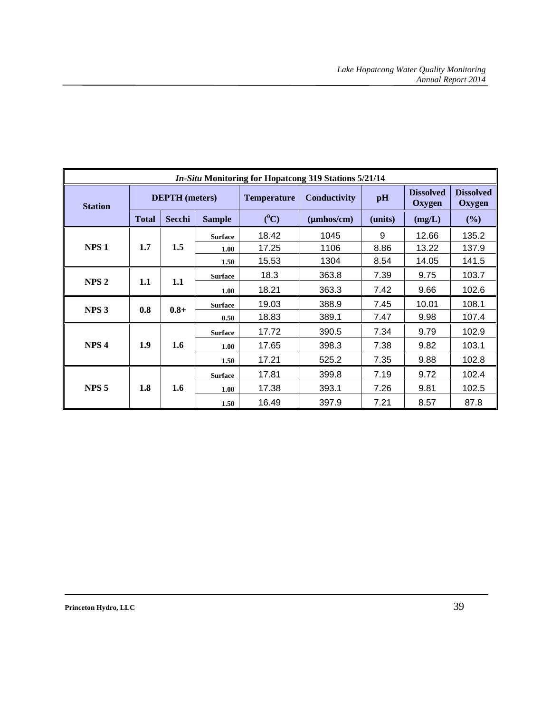| <b>In-Situ Monitoring for Hopatcong 319 Stations 5/21/14</b> |              |                       |                |                    |                         |         |                                   |                            |      |      |       |
|--------------------------------------------------------------|--------------|-----------------------|----------------|--------------------|-------------------------|---------|-----------------------------------|----------------------------|------|------|-------|
| <b>Station</b>                                               |              | <b>DEPTH</b> (meters) |                | <b>Temperature</b> | Conductivity            | pH      | <b>Dissolved</b><br><b>Oxygen</b> | <b>Dissolved</b><br>Oxygen |      |      |       |
|                                                              | <b>Total</b> | Secchi                | <b>Sample</b>  | $(^0C)$            | $(\mu m \text{hos/cm})$ | (units) | (mg/L)                            | (%)                        |      |      |       |
|                                                              |              |                       | <b>Surface</b> | 18.42              | 1045                    | 9       | 12.66                             | 135.2                      |      |      |       |
| NPS <sub>1</sub>                                             | 1.7          | 1.5                   | 1.00           | 17.25              | 1106                    | 8.86    | 13.22                             | 137.9                      |      |      |       |
|                                                              |              |                       | 1.50           | 15.53              | 1304                    | 8.54    | 14.05                             | 141.5                      |      |      |       |
| NPS <sub>2</sub>                                             | 1.1          | 1.1                   | <b>Surface</b> | 18.3               | 363.8                   | 7.39    | 9.75                              | 103.7                      |      |      |       |
|                                                              |              |                       | 1.00           | 18.21              | 363.3                   | 7.42    | 9.66                              | 102.6                      |      |      |       |
| NPS <sub>3</sub>                                             | 0.8          | $0.8 +$               | <b>Surface</b> | 19.03              | 388.9                   | 7.45    | 10.01                             | 108.1                      |      |      |       |
|                                                              |              |                       | 0.50           | 18.83              | 389.1                   | 7.47    | 9.98                              | 107.4                      |      |      |       |
|                                                              |              |                       | <b>Surface</b> | 17.72              | 390.5                   | 7.34    | 9.79                              | 102.9                      |      |      |       |
| NPS <sub>4</sub>                                             | 1.9          | 1.6                   | 1.00           | 17.65              | 398.3                   | 7.38    | 9.82                              | 103.1                      |      |      |       |
|                                                              |              |                       |                |                    |                         | 1.50    | 17.21                             | 525.2                      | 7.35 | 9.88 | 102.8 |
|                                                              |              | 1.6                   | <b>Surface</b> | 17.81              | 399.8                   | 7.19    | 9.72                              | 102.4                      |      |      |       |
| NPS <sub>5</sub>                                             | 1.8          |                       | 1.00           | 17.38              | 393.1                   | 7.26    | 9.81                              | 102.5                      |      |      |       |
|                                                              |              |                       | 1.50           | 16.49              | 397.9                   | 7.21    | 8.57                              | 87.8                       |      |      |       |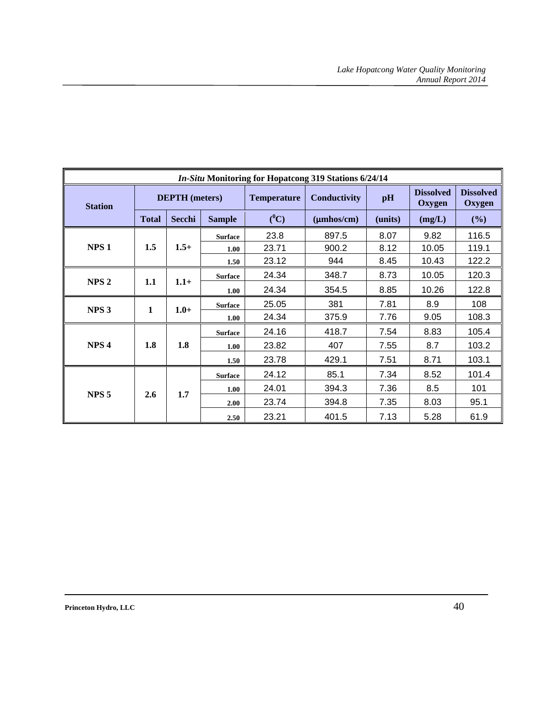| <b>In-Situ Monitoring for Hopatcong 319 Stations 6/24/14</b> |              |                       |                |                    |                         |         |                            |                            |
|--------------------------------------------------------------|--------------|-----------------------|----------------|--------------------|-------------------------|---------|----------------------------|----------------------------|
| <b>Station</b>                                               |              | <b>DEPTH</b> (meters) |                | <b>Temperature</b> | Conductivity            | pH      | <b>Dissolved</b><br>Oxygen | <b>Dissolved</b><br>Oxygen |
|                                                              | <b>Total</b> | Secchi                | <b>Sample</b>  | $(^0C)$            | $(\mu m \text{hos/cm})$ | (units) | (mg/L)                     | (%)                        |
|                                                              |              |                       | <b>Surface</b> | 23.8               | 897.5                   | 8.07    | 9.82                       | 116.5                      |
| NPS <sub>1</sub>                                             | 1.5          | $1.5+$                | 1.00           | 23.71              | 900.2                   | 8.12    | 10.05                      | 119.1                      |
|                                                              |              |                       | 1.50           | 23.12              | 944                     | 8.45    | 10.43                      | 122.2                      |
| NPS <sub>2</sub>                                             |              | $1.1+$                | <b>Surface</b> | 24.34              | 348.7                   | 8.73    | 10.05                      | 120.3                      |
|                                                              | 1.1          |                       | 1.00           | 24.34              | 354.5                   | 8.85    | 10.26                      | 122.8                      |
| NPS <sub>3</sub>                                             | 1            | $1.0+$                | <b>Surface</b> | 25.05              | 381                     | 7.81    | 8.9                        | 108                        |
|                                                              |              |                       | 1.00           | 24.34              | 375.9                   | 7.76    | 9.05                       | 108.3                      |
|                                                              |              |                       | <b>Surface</b> | 24.16              | 418.7                   | 7.54    | 8.83                       | 105.4                      |
| NPS <sub>4</sub>                                             | 1.8          | 1.8                   | 1.00           | 23.82              | 407                     | 7.55    | 8.7                        | 103.2                      |
|                                                              |              |                       | 1.50           | 23.78              | 429.1                   | 7.51    | 8.71                       | 103.1                      |
|                                                              |              |                       | <b>Surface</b> | 24.12              | 85.1                    | 7.34    | 8.52                       | 101.4                      |
|                                                              |              | 1.7                   | 1.00           | 24.01              | 394.3                   | 7.36    | 8.5                        | 101                        |
| NPS <sub>5</sub>                                             | 2.6          |                       | 2.00           | 23.74              | 394.8                   | 7.35    | 8.03                       | 95.1                       |
|                                                              |              |                       | 2.50           | 23.21              | 401.5                   | 7.13    | 5.28                       | 61.9                       |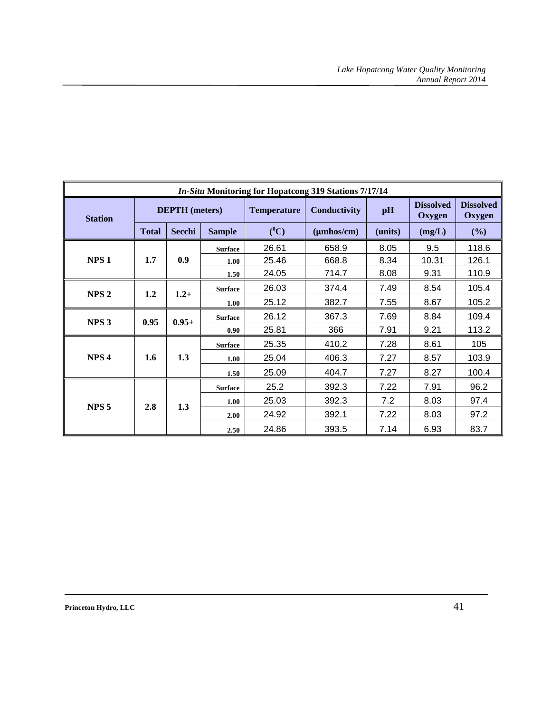| <b>In-Situ Monitoring for Hopatcong 319 Stations 7/17/14</b> |              |                       |                   |                    |                         |         |                                   |                            |
|--------------------------------------------------------------|--------------|-----------------------|-------------------|--------------------|-------------------------|---------|-----------------------------------|----------------------------|
| <b>Station</b>                                               |              | <b>DEPTH</b> (meters) |                   | <b>Temperature</b> | Conductivity            | pH      | <b>Dissolved</b><br><b>Oxygen</b> | <b>Dissolved</b><br>Oxygen |
|                                                              | <b>Total</b> | Secchi                | <b>Sample</b>     | $(^0C)$            | $(\mu m \text{hos/cm})$ | (units) | (mg/L)                            | (%)                        |
|                                                              |              |                       | <b>Surface</b>    | 26.61              | 658.9                   | 8.05    | 9.5                               | 118.6                      |
| NPS <sub>1</sub>                                             | 1.7          | 0.9                   | 1.00              | 25.46              | 668.8                   | 8.34    | 10.31                             | 126.1                      |
|                                                              |              |                       | 1.50              | 24.05              | 714.7                   | 8.08    | 9.31                              | 110.9                      |
| NPS <sub>2</sub>                                             | 1.2          | $1.2+$                | <b>Surface</b>    | 26.03              | 374.4                   | 7.49    | 8.54                              | 105.4                      |
|                                                              |              |                       | 1.00              | 25.12              | 382.7                   | 7.55    | 8.67                              | 105.2                      |
|                                                              | 0.95         | $0.95+$               | <b>Surface</b>    | 26.12              | 367.3                   | 7.69    | 8.84                              | 109.4                      |
| NPS <sub>3</sub>                                             |              |                       | 0.90 <sub>1</sub> | 25.81              | 366                     | 7.91    | 9.21                              | 113.2                      |
|                                                              |              | 1.3                   | <b>Surface</b>    | 25.35              | 410.2                   | 7.28    | 8.61                              | 105                        |
| NPS <sub>4</sub>                                             | 1.6          |                       | 1.00              | 25.04              | 406.3                   | 7.27    | 8.57                              | 103.9                      |
|                                                              |              |                       | 1.50              | 25.09              | 404.7                   | 7.27    | 8.27                              | 100.4                      |
|                                                              |              |                       | <b>Surface</b>    | 25.2               | 392.3                   | 7.22    | 7.91                              | 96.2                       |
| NPS <sub>5</sub>                                             | 2.8          |                       | 1.00              | 25.03              | 392.3                   | 7.2     | 8.03                              | 97.4                       |
|                                                              |              | 1.3                   | 2.00              | 24.92              | 392.1                   | 7.22    | 8.03                              | 97.2                       |
|                                                              |              |                       | 2.50              | 24.86              | 393.5                   | 7.14    | 6.93                              | 83.7                       |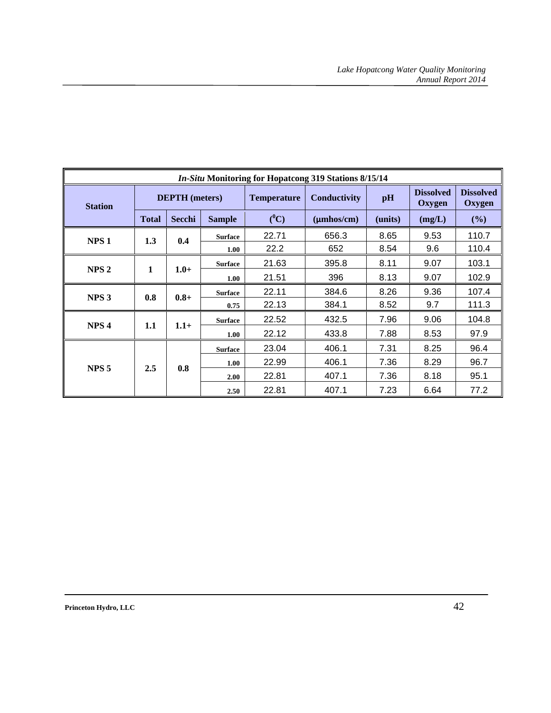| <i>In-Situ Monitoring for Hopatcong 319 Stations 8/15/14</i> |                       |               |                |                    |                         |         |                            |                            |
|--------------------------------------------------------------|-----------------------|---------------|----------------|--------------------|-------------------------|---------|----------------------------|----------------------------|
| <b>Station</b>                                               | <b>DEPTH</b> (meters) |               |                | <b>Temperature</b> | <b>Conductivity</b>     | pH      | <b>Dissolved</b><br>Oxygen | <b>Dissolved</b><br>Oxygen |
|                                                              | <b>Total</b>          | <b>Secchi</b> | <b>Sample</b>  | $(^0C)$            | $(\mu m \text{hos/cm})$ | (units) | (mg/L)                     | (%)                        |
| NPS <sub>1</sub>                                             | 1.3                   | 0.4           | <b>Surface</b> | 22.71              | 656.3                   | 8.65    | 9.53                       | 110.7                      |
|                                                              |                       |               | 1.00           | 22.2               | 652                     | 8.54    | 9.6                        | 110.4                      |
|                                                              | 1                     | $1.0+$        | <b>Surface</b> | 21.63              | 395.8                   | 8.11    | 9.07                       | 103.1                      |
| NPS <sub>2</sub>                                             |                       |               | 1.00           | 21.51              | 396                     | 8.13    | 9.07                       | 102.9                      |
| NPS <sub>3</sub>                                             | 0.8                   | $0.8 +$       | <b>Surface</b> | 22.11              | 384.6                   | 8.26    | 9.36                       | 107.4                      |
|                                                              |                       |               | 0.75           | 22.13              | 384.1                   | 8.52    | 9.7                        | 111.3                      |
| NPS <sub>4</sub>                                             | 1.1                   |               | <b>Surface</b> | 22.52              | 432.5                   | 7.96    | 9.06                       | 104.8                      |
|                                                              |                       | $1.1+$        | 1.00           | 22.12              | 433.8                   | 7.88    | 8.53                       | 97.9                       |
|                                                              |                       |               | <b>Surface</b> | 23.04              | 406.1                   | 7.31    | 8.25                       | 96.4                       |
|                                                              |                       | 0.8           | 1.00           | 22.99              | 406.1                   | 7.36    | 8.29                       | 96.7                       |
| NPS <sub>5</sub>                                             | 2.5                   |               | 2.00           | 22.81              | 407.1                   | 7.36    | 8.18                       | 95.1                       |
|                                                              |                       |               | 2.50           | 22.81              | 407.1                   | 7.23    | 6.64                       | 77.2                       |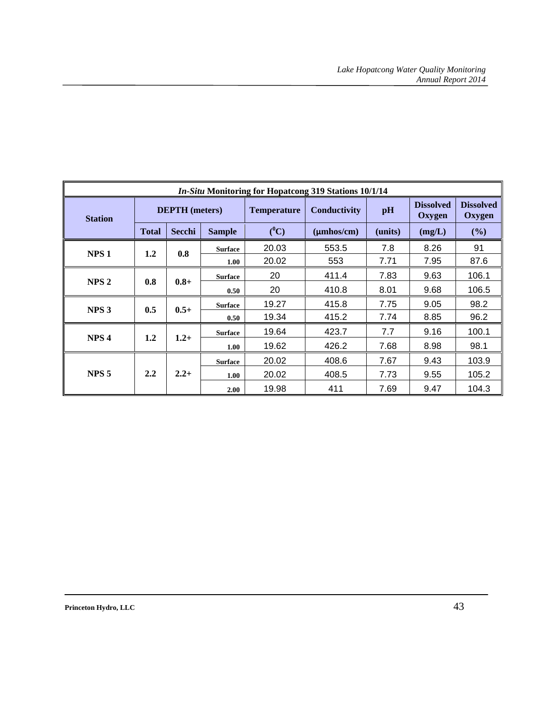| <b>In-Situ Monitoring for Hopatcong 319 Stations 10/1/14</b> |                       |               |                |                    |                         |         |                                   |                            |
|--------------------------------------------------------------|-----------------------|---------------|----------------|--------------------|-------------------------|---------|-----------------------------------|----------------------------|
| <b>Station</b>                                               | <b>DEPTH</b> (meters) |               |                | <b>Temperature</b> | Conductivity            | pH      | <b>Dissolved</b><br><b>Oxygen</b> | <b>Dissolved</b><br>Oxygen |
|                                                              | <b>Total</b>          | Secchi        | <b>Sample</b>  | $(^0C)$            | $(\mu m \text{hos/cm})$ | (units) | (mg/L)                            | (%)                        |
| NPS <sub>1</sub>                                             | 1.2                   | 0.8           | <b>Surface</b> | 20.03              | 553.5                   | 7.8     | 8.26                              | 91                         |
|                                                              |                       |               | 1.00           | 20.02              | 553                     | 7.71    | 7.95                              | 87.6                       |
|                                                              |                       | $0.8 +$       | <b>Surface</b> | 20                 | 411.4                   | 7.83    | 9.63                              | 106.1                      |
| NPS <sub>2</sub>                                             | 0.8                   |               | 0.50           | 20                 | 410.8                   | 8.01    | 9.68                              | 106.5                      |
| NPS <sub>3</sub>                                             | 0.5                   | $0.5+$        | <b>Surface</b> | 19.27              | 415.8                   | 7.75    | 9.05                              | 98.2                       |
|                                                              |                       |               | 0.50           | 19.34              | 415.2                   | 7.74    | 8.85                              | 96.2                       |
|                                                              |                       | $1.2+$<br>1.2 | <b>Surface</b> | 19.64              | 423.7                   | 7.7     | 9.16                              | 100.1                      |
| NPS <sub>4</sub>                                             |                       |               | 1.00           | 19.62              | 426.2                   | 7.68    | 8.98                              | 98.1                       |
|                                                              |                       | $2.2+$        | <b>Surface</b> | 20.02              | 408.6                   | 7.67    | 9.43                              | 103.9                      |
| NPS <sub>5</sub>                                             | 2.2                   |               | 1.00           | 20.02              | 408.5                   | 7.73    | 9.55                              | 105.2                      |
|                                                              |                       |               | 2.00           | 19.98              | 411                     | 7.69    | 9.47                              | 104.3                      |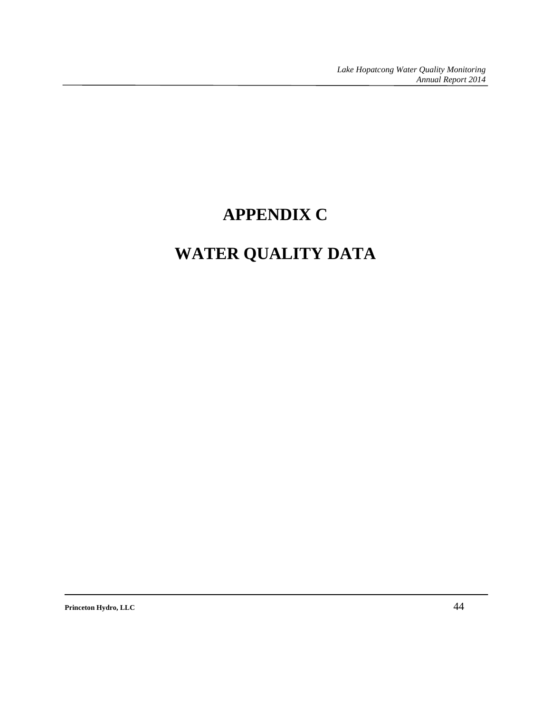# **APPENDIX C**

# **WATER QUALITY DATA**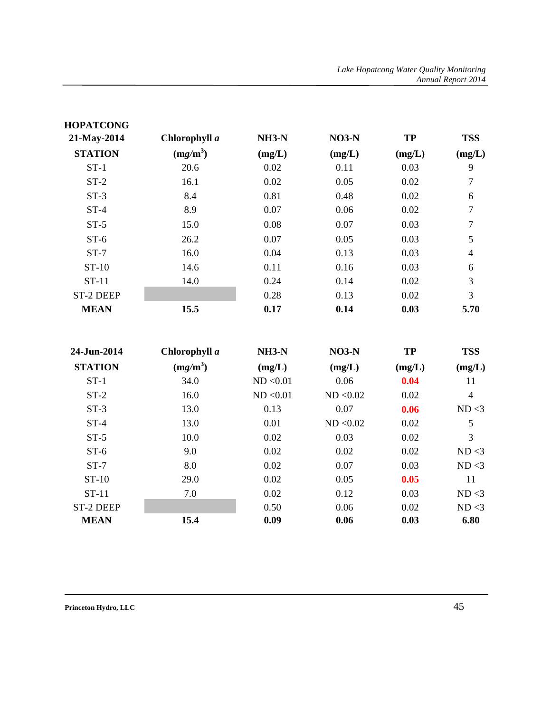| <b>HOPATCONG</b> |               |         |         |           |                |
|------------------|---------------|---------|---------|-----------|----------------|
| 21-May-2014      | Chlorophyll a | $NH3-N$ | $NO3-N$ | <b>TP</b> | <b>TSS</b>     |
| <b>STATION</b>   | $(mg/m^3)$    | (mg/L)  | (mg/L)  | (mg/L)    | (mg/L)         |
| $ST-1$           | 20.6          | 0.02    | 0.11    | 0.03      | 9              |
| $ST-2$           | 16.1          | 0.02    | 0.05    | 0.02      | $\overline{7}$ |
| $ST-3$           | 8.4           | 0.81    | 0.48    | 0.02      | 6              |
| $ST-4$           | 8.9           | 0.07    | 0.06    | 0.02      | $\tau$         |
| $ST-5$           | 15.0          | 0.08    | 0.07    | 0.03      | 7              |
| $ST-6$           | 26.2          | 0.07    | 0.05    | 0.03      | 5              |
| $ST-7$           | 16.0          | 0.04    | 0.13    | 0.03      | 4              |
| $ST-10$          | 14.6          | 0.11    | 0.16    | 0.03      | 6              |
| $ST-11$          | 14.0          | 0.24    | 0.14    | 0.02      | 3              |
| <b>ST-2 DEEP</b> |               | 0.28    | 0.13    | 0.02      | 3              |
| <b>MEAN</b>      | 15.5          | 0.17    | 0.14    | 0.03      | 5.70           |

| 24-Jun-2014      | Chlorophyll a | $NH3-N$   | $NO3-N$   | <b>TP</b> | <b>TSS</b> |
|------------------|---------------|-----------|-----------|-----------|------------|
| <b>STATION</b>   | $(mg/m^3)$    | (mg/L)    | (mg/L)    | (mg/L)    | (mg/L)     |
| $ST-1$           | 34.0          | ND < 0.01 | 0.06      | 0.04      | 11         |
| $ST-2$           | 16.0          | ND < 0.01 | ND < 0.02 | 0.02      | 4          |
| $ST-3$           | 13.0          | 0.13      | 0.07      | 0.06      | ND < 3     |
| $ST-4$           | 13.0          | 0.01      | ND < 0.02 | 0.02      | 5          |
| $ST-5$           | 10.0          | 0.02      | 0.03      | 0.02      | 3          |
| $ST-6$           | 9.0           | 0.02      | 0.02      | 0.02      | ND < 3     |
| $ST-7$           | 8.0           | 0.02      | 0.07      | 0.03      | ND < 3     |
| $ST-10$          | 29.0          | 0.02      | 0.05      | 0.05      | 11         |
| $ST-11$          | 7.0           | 0.02      | 0.12      | 0.03      | ND < 3     |
| <b>ST-2 DEEP</b> |               | 0.50      | 0.06      | 0.02      | ND < 3     |
| <b>MEAN</b>      | 15.4          | 0.09      | 0.06      | 0.03      | 6.80       |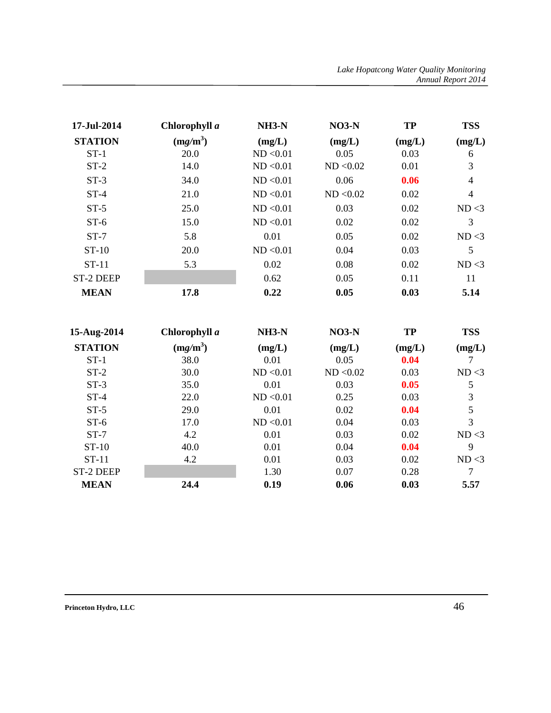| <b>STATION</b><br>$ST-1$<br>$ST-2$ | $(mg/m^3)$<br>20.0 | (mg/L)<br>ND < 0.01 | (mg/L)    | (mg/L) | (mg/L) |
|------------------------------------|--------------------|---------------------|-----------|--------|--------|
|                                    |                    |                     |           |        |        |
|                                    |                    |                     | 0.05      | 0.03   | 6      |
|                                    | 14.0               | ND < 0.01           | ND < 0.02 | 0.01   | 3      |
| $ST-3$                             | 34.0               | ND < 0.01           | 0.06      | 0.06   | 4      |
| $ST-4$                             | 21.0               | ND < 0.01           | ND < 0.02 | 0.02   | 4      |
| $ST-5$                             | 25.0               | ND < 0.01           | 0.03      | 0.02   | ND < 3 |
| $ST-6$                             | 15.0               | ND < 0.01           | 0.02      | 0.02   | 3      |
| $ST-7$                             | 5.8                | 0.01                | 0.05      | 0.02   | ND < 3 |
| $ST-10$                            | 20.0               | ND < 0.01           | 0.04      | 0.03   | 5      |
| $ST-11$                            | 5.3                | 0.02                | 0.08      | 0.02   | ND < 3 |
| ST-2 DEEP                          |                    | 0.62                | 0.05      | 0.11   | 11     |
| <b>MEAN</b>                        | 17.8               | 0.22                | 0.05      | 0.03   | 5.14   |

| 15-Aug-2014      | Chlorophyll a | $NH3-N$   | $NO3-N$   | <b>TP</b> | <b>TSS</b> |
|------------------|---------------|-----------|-----------|-----------|------------|
| <b>STATION</b>   | $(mg/m^3)$    | (mg/L)    | (mg/L)    | (mg/L)    | (mg/L)     |
| $ST-1$           | 38.0          | 0.01      | 0.05      | 0.04      |            |
| $ST-2$           | 30.0          | ND < 0.01 | ND < 0.02 | 0.03      | ND < 3     |
| $ST-3$           | 35.0          | 0.01      | 0.03      | 0.05      | 5          |
| $ST-4$           | 22.0          | ND < 0.01 | 0.25      | 0.03      | 3          |
| $ST-5$           | 29.0          | 0.01      | 0.02      | 0.04      | 5          |
| $ST-6$           | 17.0          | ND < 0.01 | 0.04      | 0.03      | 3          |
| $ST-7$           | 4.2           | 0.01      | 0.03      | 0.02      | ND < 3     |
| $ST-10$          | 40.0          | 0.01      | 0.04      | 0.04      | 9          |
| $ST-11$          | 4.2           | 0.01      | 0.03      | 0.02      | ND < 3     |
| <b>ST-2 DEEP</b> |               | 1.30      | 0.07      | 0.28      | 7          |
| <b>MEAN</b>      | 24.4          | 0.19      | 0.06      | 0.03      | 5.57       |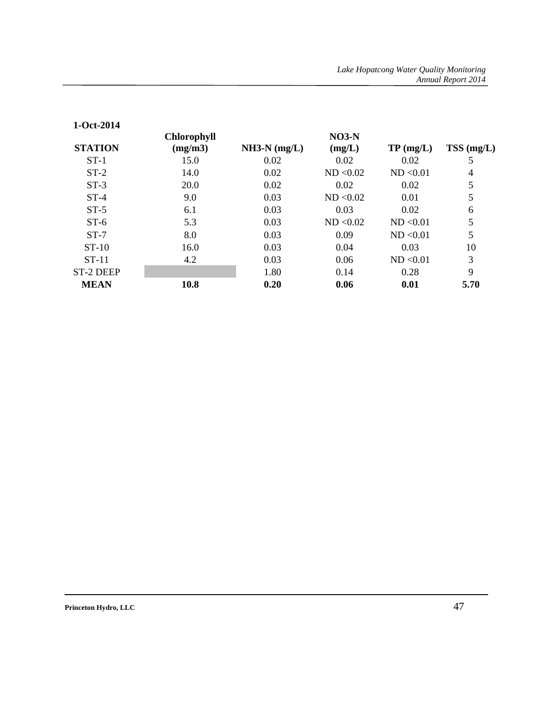| $1 - Oct - 2014$ |                    |                |           |                |              |
|------------------|--------------------|----------------|-----------|----------------|--------------|
|                  | <b>Chlorophyll</b> |                | $NO3-N$   |                |              |
| <b>STATION</b>   | (mg/m3)            | $NH3-N (mg/L)$ | (mg/L)    | $TP \, (mg/L)$ | $TSS$ (mg/L) |
| $ST-1$           | 15.0               | 0.02           | 0.02      | 0.02           | 5            |
| $ST-2$           | 14.0               | 0.02           | ND < 0.02 | ND < 0.01      | 4            |
| $ST-3$           | 20.0               | 0.02           | 0.02      | 0.02           | 5            |
| $ST-4$           | 9.0                | 0.03           | ND < 0.02 | 0.01           | 5            |
| $ST-5$           | 6.1                | 0.03           | 0.03      | 0.02           | 6            |
| $ST-6$           | 5.3                | 0.03           | ND < 0.02 | ND < 0.01      | 5            |
| $ST-7$           | 8.0                | 0.03           | 0.09      | ND < 0.01      | 5            |
| $ST-10$          | 16.0               | 0.03           | 0.04      | 0.03           | 10           |
| $ST-11$          | 4.2                | 0.03           | 0.06      | ND < 0.01      | 3            |
| ST-2 DEEP        |                    | 1.80           | 0.14      | 0.28           | 9            |
| <b>MEAN</b>      | 10.8               | 0.20           | 0.06      | 0.01           | 5.70         |